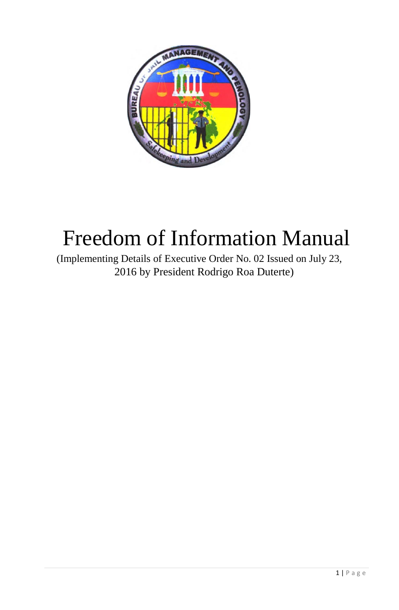

# Freedom of Information Manual

(Implementing Details of Executive Order No. 02 Issued on July 23, 2016 by President Rodrigo Roa Duterte)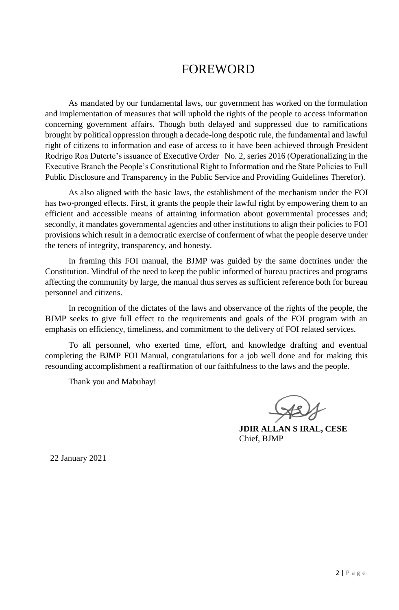# FOREWORD

As mandated by our fundamental laws, our government has worked on the formulation and implementation of measures that will uphold the rights of the people to access information concerning government affairs. Though both delayed and suppressed due to ramifications brought by political oppression through a decade-long despotic rule, the fundamental and lawful right of citizens to information and ease of access to it have been achieved through President Rodrigo Roa Duterte's issuance of Executive Order No. 2, series 2016 (Operationalizing in the Executive Branch the People's Constitutional Right to Information and the State Policies to Full Public Disclosure and Transparency in the Public Service and Providing Guidelines Therefor).

As also aligned with the basic laws, the establishment of the mechanism under the FOI has two-pronged effects. First, it grants the people their lawful right by empowering them to an efficient and accessible means of attaining information about governmental processes and; secondly, it mandates governmental agencies and other institutions to align their policies to FOI provisions which result in a democratic exercise of conferment of what the people deserve under the tenets of integrity, transparency, and honesty.

In framing this FOI manual, the BJMP was guided by the same doctrines under the Constitution. Mindful of the need to keep the public informed of bureau practices and programs affecting the community by large, the manual thus serves as sufficient reference both for bureau personnel and citizens.

In recognition of the dictates of the laws and observance of the rights of the people, the BJMP seeks to give full effect to the requirements and goals of the FOI program with an emphasis on efficiency, timeliness, and commitment to the delivery of FOI related services.

To all personnel, who exerted time, effort, and knowledge drafting and eventual completing the BJMP FOI Manual, congratulations for a job well done and for making this resounding accomplishment a reaffirmation of our faithfulness to the laws and the people.

Thank you and Mabuhay!

 **JDIR ALLAN S IRAL, CESE** Chief, BJMP

22 January 2021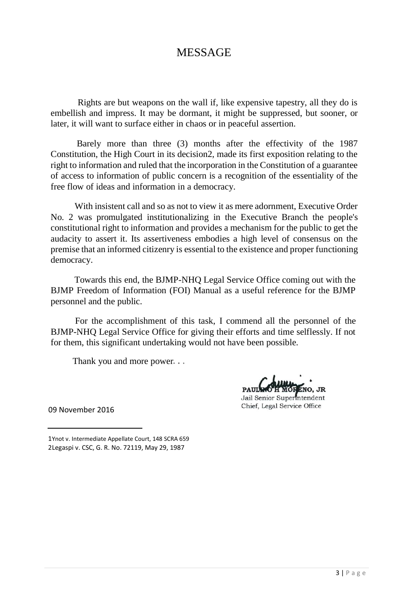# MESSAGE

Rights are but weapons on the wall if, like expensive tapestry, all they do is embellish and impress. It may be dormant, it might be suppressed, but sooner, or later, it will want to surface either in chaos or in peaceful assertion.

Barely more than three (3) months after the effectivity of the 1987 Constitution, the High Court in its decision2, made its first exposition relating to the right to information and ruled that the incorporation in the Constitution of a guarantee of access to information of public concern is a recognition of the essentiality of the free flow of ideas and information in a democracy.

With insistent call and so as not to view it as mere adornment, Executive Order No. 2 was promulgated institutionalizing in the Executive Branch the people's constitutional right to information and provides a mechanism for the public to get the audacity to assert it. Its assertiveness embodies a high level of consensus on the premise that an informed citizenry is essential to the existence and proper functioning democracy.

Towards this end, the BJMP-NHQ Legal Service Office coming out with the BJMP Freedom of Information (FOI) Manual as a useful reference for the BJMP personnel and the public.

For the accomplishment of this task, I commend all the personnel of the BJMP-NHQ Legal Service Office for giving their efforts and time selflessly. If not for them, this significant undertaking would not have been possible.

Thank you and more power...

ENO, JR

Jail Senior Superintendent Chief, Legal Service Office

09 November 2016

<sup>1</sup>Ynot v. Intermediate Appellate Court, 148 SCRA 659 2Legaspi v. CSC, G. R. No. 72119, May 29, 1987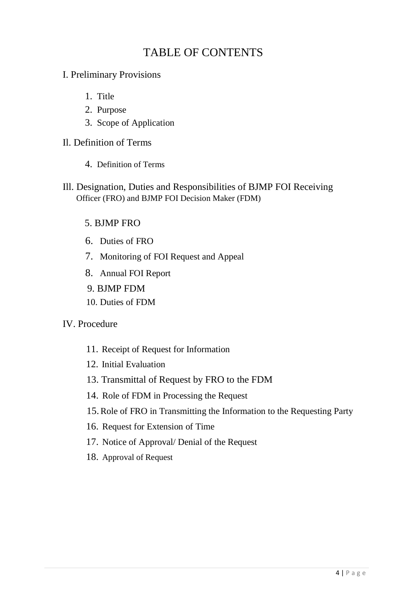# TABLE OF CONTENTS

- I. Preliminary Provisions
	- 1. Title
	- 2. Purpose
	- 3. Scope of Application
- Il. Definition of Terms
	- 4. Definition of Terms
- Ill. Designation, Duties and Responsibilities of BJMP FOI Receiving Officer (FRO) and BJMP FOI Decision Maker (FDM)

### 5. BJMP FRO

- 6. Duties of FRO
- 7. Monitoring of FOI Request and Appeal
- 8. Annual FOI Report
- 9. BJMP FDM
- 10. Duties of FDM

### IV. Procedure

- 11. Receipt of Request for Information
- 12. Initial Evaluation
- 13. Transmittal of Request by FRO to the FDM
- 14. Role of FDM in Processing the Request
- 15.Role of FRO in Transmitting the Information to the Requesting Party
- 16. Request for Extension of Time
- 17. Notice of Approval/ Denial of the Request
- 18. Approval of Request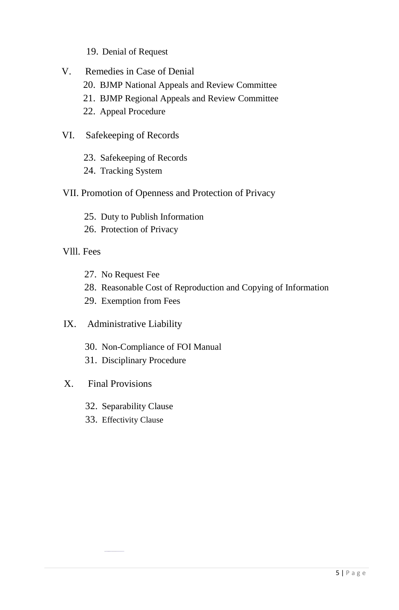- 19. Denial of Request
- V. Remedies in Case of Denial
	- 20. BJMP National Appeals and Review Committee
	- 21. BJMP Regional Appeals and Review Committee
	- 22. Appeal Procedure
- VI. Safekeeping of Records
	- 23. Safekeeping of Records
	- 24. Tracking System
- VII. Promotion of Openness and Protection of Privacy
	- 25. Duty to Publish Information
	- 26. Protection of Privacy
- Vlll. Fees
	- 27. No Request Fee
	- 28. Reasonable Cost of Reproduction and Copying of Information
	- 29. Exemption from Fees
- IX. Administrative Liability
	- 30. Non-Compliance of FOI Manual
	- 31. Disciplinary Procedure
- X. Final Provisions
	- 32. Separability Clause
	- 33. Effectivity Clause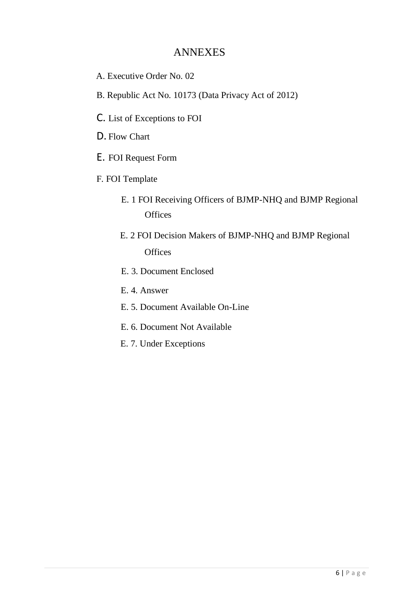### ANNEXES

- A. Executive Order No. 02
- B. Republic Act No. 10173 (Data Privacy Act of 2012)
- C. List of Exceptions to FOI
- D. Flow Chart
- E. FOI Request Form
- F. FOI Template
	- E. 1 FOI Receiving Officers of BJMP-NHQ and BJMP Regional **Offices**
	- E. 2 FOI Decision Makers of BJMP-NHQ and BJMP Regional **Offices**
	- E. 3. Document Enclosed
	- E. 4. Answer
	- E. 5. Document Available On-Line
	- E. 6. Document Not Available
	- E. 7. Under Exceptions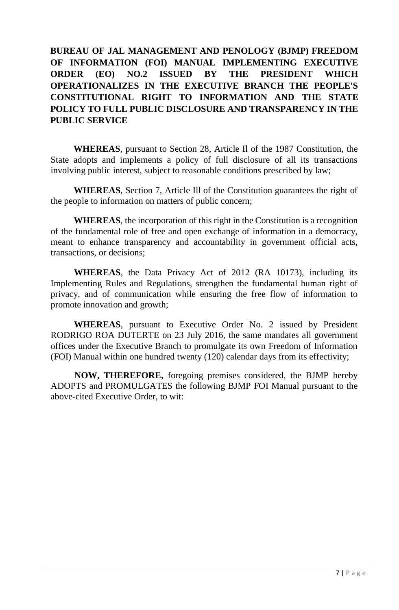### **BUREAU OF JAL MANAGEMENT AND PENOLOGY (BJMP) FREEDOM OF INFORMATION (FOI) MANUAL IMPLEMENTING EXECUTIVE ORDER (EO) NO.2 ISSUED BY THE PRESIDENT WHICH OPERATIONALIZES IN THE EXECUTIVE BRANCH THE PEOPLE'S CONSTITUTIONAL RIGHT TO INFORMATION AND THE STATE POLICY TO FULL PUBLIC DISCLOSURE AND TRANSPARENCY IN THE PUBLIC SERVICE**

**WHEREAS**, pursuant to Section 28, Article Il of the 1987 Constitution, the State adopts and implements a policy of full disclosure of all its transactions involving public interest, subject to reasonable conditions prescribed by law;

**WHEREAS**, Section 7, Article Ill of the Constitution guarantees the right of the people to information on matters of public concern;

**WHEREAS**, the incorporation of this right in the Constitution is a recognition of the fundamental role of free and open exchange of information in a democracy, meant to enhance transparency and accountability in government official acts, transactions, or decisions;

**WHEREAS**, the Data Privacy Act of 2012 (RA 10173), including its Implementing Rules and Regulations, strengthen the fundamental human right of privacy, and of communication while ensuring the free flow of information to promote innovation and growth;

**WHEREAS**, pursuant to Executive Order No. 2 issued by President RODRIGO ROA DUTERTE on 23 July 2016, the same mandates all government offices under the Executive Branch to promulgate its own Freedom of Information (FOI) Manual within one hundred twenty (120) calendar days from its effectivity;

**NOW, THEREFORE,** foregoing premises considered, the BJMP hereby ADOPTS and PROMULGATES the following BJMP FOI Manual pursuant to the above-cited Executive Order, to wit: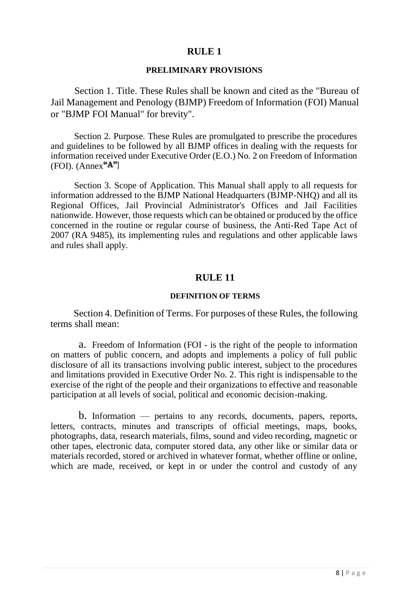### **RULE 1**

#### **PRELIMINARY PROVISIONS**

Section 1. Title. These Rules shall be known and cited as the "Bureau of Jail Management and Penology (BJMP) Freedom of Information (FOI) Manual or "BJMP FOI Manual" for brevity".

Section 2. Purpose. These Rules are promulgated to prescribe the procedures and guidelines to be followed by all BJMP offices in dealing with the requests for information received under Executive Order (E.O.) No. 2 on Freedom of Information  $(FOI)$ .  $(Annex"A")$ 

Section 3. Scope of Application. This Manual shall apply to all requests for information addressed to the BJMP National Headquarters (BJMP-NHQ) and all its Regional Offices, Jail Provincial Administrator's Offices and Jail Facilities nationwide. However, those requests which can be obtained or produced by the office concerned in the routine or regular course of business, the Anti-Red Tape Act of 2007 (RA 9485), its implementing rules and regulations and other applicable laws and rules shall apply.

#### **RULE 11**

#### **DEFINITION OF TERMS**

Section 4. Definition of Terms. For purposes of these Rules, the following terms shall mean:

a. Freedom of Information (FOI - is the right of the people to information on matters of public concern, and adopts and implements a policy of full public disclosure of all its transactions involving public interest, subject to the procedures and limitations provided in Executive Order No. 2. This right is indispensable to the exercise of the right of the people and their organizations to effective and reasonable participation at all levels of social, political and economic decision-making.

b. Information — pertains to any records, documents, papers, reports, letters, contracts, minutes and transcripts of official meetings, maps, books, photographs, data, research materials, films, sound and video recording, magnetic or other tapes, electronic data, computer stored data, any other like or similar data or materials recorded, stored or archived in whatever format, whether offline or online, which are made, received, or kept in or under the control and custody of any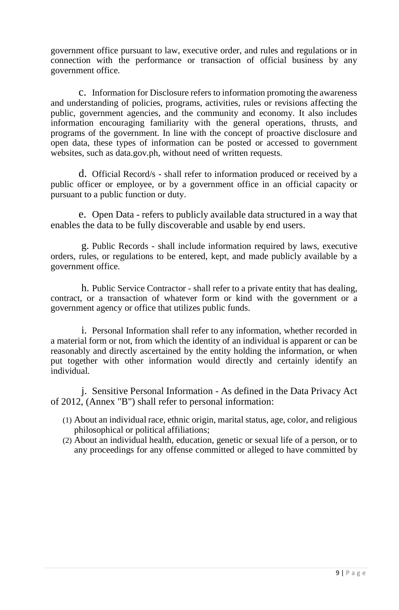government office pursuant to law, executive order, and rules and regulations or in connection with the performance or transaction of official business by any government office.

c. Information for Disclosure refers to information promoting the awareness and understanding of policies, programs, activities, rules or revisions affecting the public, government agencies, and the community and economy. It also includes information encouraging familiarity with the general operations, thrusts, and programs of the government. In line with the concept of proactive disclosure and open data, these types of information can be posted or accessed to government websites, such as data.gov.ph, without need of written requests.

d. Official Record/s - shall refer to information produced or received by a public officer or employee, or by a government office in an official capacity or pursuant to a public function or duty.

e. Open Data - refers to publicly available data structured in a way that enables the data to be fully discoverable and usable by end users.

g. Public Records - shall include information required by laws, executive orders, rules, or regulations to be entered, kept, and made publicly available by a government office.

h. Public Service Contractor - shall refer to a private entity that has dealing, contract, or a transaction of whatever form or kind with the government or a government agency or office that utilizes public funds.

i. Personal Information shall refer to any information, whether recorded in a material form or not, from which the identity of an individual is apparent or can be reasonably and directly ascertained by the entity holding the information, or when put together with other information would directly and certainly identify an individual.

j. Sensitive Personal Information - As defined in the Data Privacy Act of 2012, (Annex "B") shall refer to personal information:

- (1) About an individual race, ethnic origin, marital status, age, color, and religious philosophical or political affiliations;
- (2) About an individual health, education, genetic or sexual life of a person, or to any proceedings for any offense committed or alleged to have committed by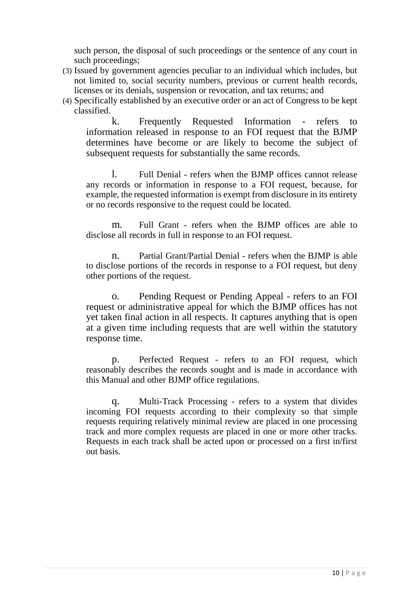such person, the disposal of such proceedings or the sentence of any court in such proceedings;

- (3) Issued by government agencies peculiar to an individual which includes, but not limited to, social security numbers, previous or current health records, licenses or its denials, suspension or revocation, and tax returns; and
- (4) Specifically established by an executive order or an act of Congress to be kept classified.

k. Frequently Requested Information - refers to information released in response to an FOI request that the BJMP determines have become or are likely to become the subject of subsequent requests for substantially the same records.

l. Full Denial - refers when the BJMP offices cannot release any records or information in response to a FOI request, because, for example, the requested information is exempt from disclosure in its entirety or no records responsive to the request could be located.

m. Full Grant - refers when the BJMP offices are able to disclose all records in full in response to an FOI request.

n. Partial Grant/Partial Denial - refers when the BJMP is able to disclose portions of the records in response to a FOI request, but deny other portions of the request.

o. Pending Request or Pending Appeal - refers to an FOI request or administrative appeal for which the BJMP offices has not yet taken final action in all respects. It captures anything that is open at a given time including requests that are well within the statutory response time.

p. Perfected Request - refers to an FOI request, which reasonably describes the records sought and is made in accordance with this Manual and other BJMP office regulations.

q. Multi-Track Processing - refers to a system that divides incoming FOI requests according to their complexity so that simple requests requiring relatively minimal review are placed in one processing track and more complex requests are placed in one or more other tracks. Requests in each track shall be acted upon or processed on a first in/first out basis.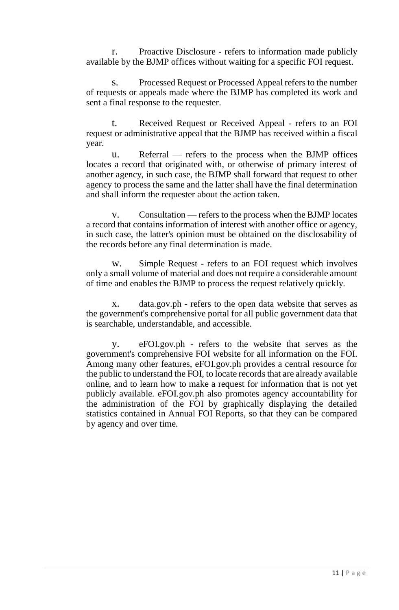r. Proactive Disclosure - refers to information made publicly available by the BJMP offices without waiting for a specific FOI request.

s. Processed Request or Processed Appeal refers to the number of requests or appeals made where the BJMP has completed its work and sent a final response to the requester.

t. Received Request or Received Appeal - refers to an FOI request or administrative appeal that the BJMP has received within a fiscal year.

u. Referral — refers to the process when the BJMP offices locates a record that originated with, or otherwise of primary interest of another agency, in such case, the BJMP shall forward that request to other agency to process the same and the latter shall have the final determination and shall inform the requester about the action taken.

v. Consultation — refers to the process when the BJMP locates a record that contains information of interest with another office or agency, in such case, the latter's opinion must be obtained on the disclosability of the records before any final determination is made.

w. Simple Request - refers to an FOI request which involves only a small volume of material and does not require a considerable amount of time and enables the BJMP to process the request relatively quickly.

x. data.gov.ph - refers to the open data website that serves as the government's comprehensive portal for all public government data that is searchable, understandable, and accessible.

y. eFOI.gov.ph - refers to the website that serves as the government's comprehensive FOI website for all information on the FOI. Among many other features, eFOI.gov.ph provides a central resource for the public to understand the FOI, to locate records that are already available online, and to learn how to make a request for information that is not yet publicly available. eFOI.gov.ph also promotes agency accountability for the administration of the FOI by graphically displaying the detailed statistics contained in Annual FOI Reports, so that they can be compared by agency and over time.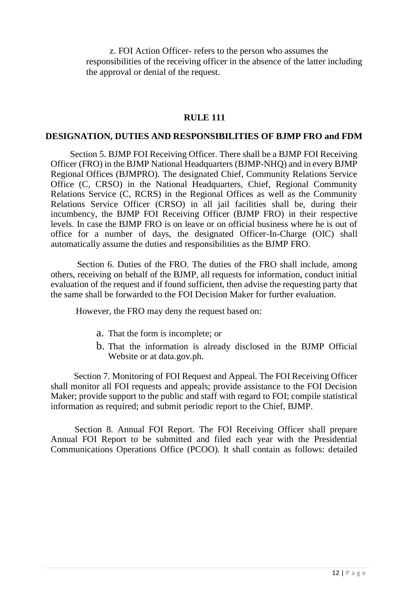z. FOI Action Officer- refers to the person who assumes the responsibilities of the receiving officer in the absence of the latter including the approval or denial of the request.

#### **RULE 111**

#### **DESIGNATION, DUTIES AND RESPONSIBILITIES OF BJMP FRO and FDM**

Section 5. BJMP FOI Receiving Officer. There shall be a BJMP FOI Receiving Officer (FRO) in the BJMP National Headquarters (BJMP-NHQ) and in every BJMP Regional Offices (BJMPRO). The designated Chief, Community Relations Service Office (C, CRSO) in the National Headquarters, Chief, Regional Community Relations Service (C, RCRS) in the Regional Offices as well as the Community Relations Service Officer (CRSO) in all jail facilities shall be, during their incumbency, the BJMP FOI Receiving Officer (BJMP FRO) in their respective levels. In case the BJMP FRO is on leave or on official business where he is out of office for a number of days, the designated Officer-In-Charge (OIC) shall automatically assume the duties and responsibilities as the BJMP FRO.

Section 6. Duties of the FRO. The duties of the FRO shall include, among others, receiving on behalf of the BJMP, all requests for information, conduct initial evaluation of the request and if found sufficient, then advise the requesting party that the same shall be forwarded to the FOI Decision Maker for further evaluation.

However, the FRO may deny the request based on:

- a. That the form is incomplete; or
- b. That the information is already disclosed in the BJMP Official Website or at data.gov.ph.

Section 7. Monitoring of FOI Request and Appeal. The FOI Receiving Officer shall monitor all FOI requests and appeals; provide assistance to the FOI Decision Maker; provide support to the public and staff with regard to FOI; compile statistical information as required; and submit periodic report to the Chief, BJMP.

Section 8. Annual FOI Report. The FOI Receiving Officer shall prepare Annual FOI Report to be submitted and filed each year with the Presidential Communications Operations Office (PCOO). It shall contain as follows: detailed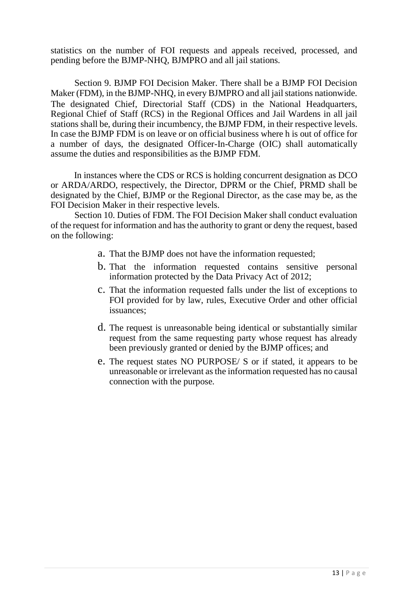statistics on the number of FOI requests and appeals received, processed, and pending before the BJMP-NHQ, BJMPRO and all jail stations.

Section 9. BJMP FOI Decision Maker. There shall be a BJMP FOI Decision Maker (FDM), in the BJMP-NHQ, in every BJMPRO and all jail stations nationwide. The designated Chief, Directorial Staff (CDS) in the National Headquarters, Regional Chief of Staff (RCS) in the Regional Offices and Jail Wardens in all jail stations shall be, during their incumbency, the BJMP FDM, in their respective levels. In case the BJMP FDM is on leave or on official business where h is out of office for a number of days, the designated Officer-In-Charge (OIC) shall automatically assume the duties and responsibilities as the BJMP FDM.

In instances where the CDS or RCS is holding concurrent designation as DCO or ARDA/ARDO, respectively, the Director, DPRM or the Chief, PRMD shall be designated by the Chief, BJMP or the Regional Director, as the case may be, as the FOI Decision Maker in their respective levels.

Section 10. Duties of FDM. The FOI Decision Maker shall conduct evaluation of the request for information and has the authority to grant or deny the request, based on the following:

- a. That the BJMP does not have the information requested;
- b. That the information requested contains sensitive personal information protected by the Data Privacy Act of 2012;
- c. That the information requested falls under the list of exceptions to FOI provided for by law, rules, Executive Order and other official issuances;
- d. The request is unreasonable being identical or substantially similar request from the same requesting party whose request has already been previously granted or denied by the BJMP offices; and
- e. The request states NO PURPOSE/ S or if stated, it appears to be unreasonable or irrelevant as the information requested has no causal connection with the purpose.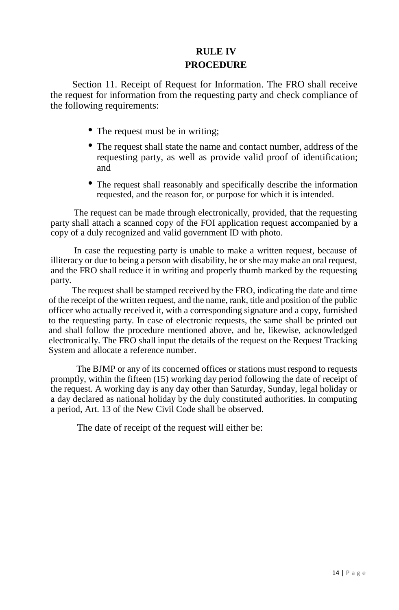# **RULE IV PROCEDURE**

Section 11. Receipt of Request for Information. The FRO shall receive the request for information from the requesting party and check compliance of the following requirements:

- The request must be in writing;
- The request shall state the name and contact number, address of the requesting party, as well as provide valid proof of identification; and
- The request shall reasonably and specifically describe the information requested, and the reason for, or purpose for which it is intended.

The request can be made through electronically, provided, that the requesting party shall attach a scanned copy of the FOI application request accompanied by a copy of a duly recognized and valid government ID with photo.

In case the requesting party is unable to make a written request, because of illiteracy or due to being a person with disability, he or she may make an oral request, and the FRO shall reduce it in writing and properly thumb marked by the requesting party.

The request shall be stamped received by the FRO, indicating the date and time of the receipt of the written request, and the name, rank, title and position of the public officer who actually received it, with a corresponding signature and a copy, furnished to the requesting party. In case of electronic requests, the same shall be printed out and shall follow the procedure mentioned above, and be, likewise, acknowledged electronically. The FRO shall input the details of the request on the Request Tracking System and allocate a reference number.

The BJMP or any of its concerned offices or stations must respond to requests promptly, within the fifteen (15) working day period following the date of receipt of the request. A working day is any day other than Saturday, Sunday, legal holiday or a day declared as national holiday by the duly constituted authorities. In computing a period, Art. 13 of the New Civil Code shall be observed.

The date of receipt of the request will either be: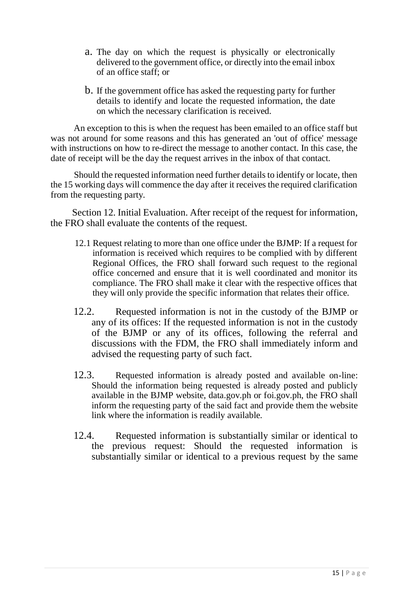- a. The day on which the request is physically or electronically delivered to the government office, or directly into the email inbox of an office staff; or
- b. If the government office has asked the requesting party for further details to identify and locate the requested information, the date on which the necessary clarification is received.

An exception to this is when the request has been emailed to an office staff but was not around for some reasons and this has generated an 'out of office' message with instructions on how to re-direct the message to another contact. In this case, the date of receipt will be the day the request arrives in the inbox of that contact.

Should the requested information need further details to identify or locate, then the 15 working days will commence the day after it receives the required clarification from the requesting party.

Section 12. Initial Evaluation. After receipt of the request for information, the FRO shall evaluate the contents of the request.

- 12.1 Request relating to more than one office under the BJMP: If a request for information is received which requires to be complied with by different Regional Offices, the FRO shall forward such request to the regional office concerned and ensure that it is well coordinated and monitor its compliance. The FRO shall make it clear with the respective offices that they will only provide the specific information that relates their office.
- 12.2. Requested information is not in the custody of the BJMP or any of its offices: If the requested information is not in the custody of the BJMP or any of its offices, following the referral and discussions with the FDM, the FRO shall immediately inform and advised the requesting party of such fact.
- 12.3. Requested information is already posted and available on-line: Should the information being requested is already posted and publicly available in the BJMP website, data.gov.ph or foi.gov.ph, the FRO shall inform the requesting party of the said fact and provide them the website link where the information is readily available.
- 12.4. Requested information is substantially similar or identical to the previous request: Should the requested information is substantially similar or identical to a previous request by the same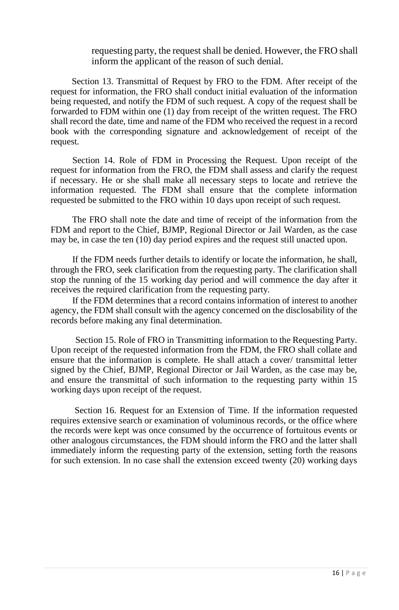#### requesting party, the request shall be denied. However, the FRO shall inform the applicant of the reason of such denial.

Section 13. Transmittal of Request by FRO to the FDM. After receipt of the request for information, the FRO shall conduct initial evaluation of the information being requested, and notify the FDM of such request. A copy of the request shall be forwarded to FDM within one (1) day from receipt of the written request. The FRO shall record the date, time and name of the FDM who received the request in a record book with the corresponding signature and acknowledgement of receipt of the request.

Section 14. Role of FDM in Processing the Request. Upon receipt of the request for information from the FRO, the FDM shall assess and clarify the request if necessary. He or she shall make all necessary steps to locate and retrieve the information requested. The FDM shall ensure that the complete information requested be submitted to the FRO within 10 days upon receipt of such request.

The FRO shall note the date and time of receipt of the information from the FDM and report to the Chief, BJMP, Regional Director or Jail Warden, as the case may be, in case the ten (10) day period expires and the request still unacted upon.

If the FDM needs further details to identify or locate the information, he shall, through the FRO, seek clarification from the requesting party. The clarification shall stop the running of the 15 working day period and will commence the day after it receives the required clarification from the requesting party.

If the FDM determines that a record contains information of interest to another agency, the FDM shall consult with the agency concerned on the disclosability of the records before making any final determination.

Section 15. Role of FRO in Transmitting information to the Requesting Party. Upon receipt of the requested information from the FDM, the FRO shall collate and ensure that the information is complete. He shall attach a cover/ transmittal letter signed by the Chief, BJMP, Regional Director or Jail Warden, as the case may be, and ensure the transmittal of such information to the requesting party within 15 working days upon receipt of the request.

Section 16. Request for an Extension of Time. If the information requested requires extensive search or examination of voluminous records, or the office where the records were kept was once consumed by the occurrence of fortuitous events or other analogous circumstances, the FDM should inform the FRO and the latter shall immediately inform the requesting party of the extension, setting forth the reasons for such extension. In no case shall the extension exceed twenty (20) working days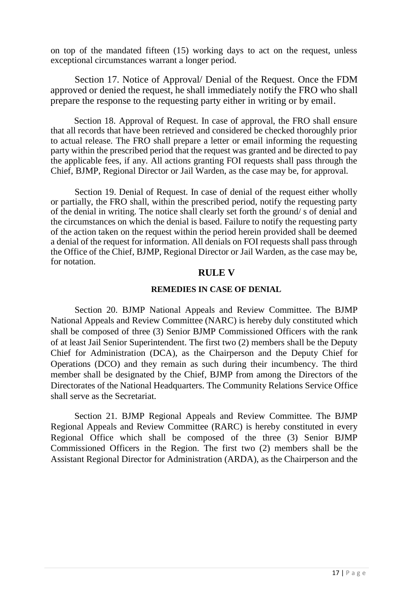on top of the mandated fifteen (15) working days to act on the request, unless exceptional circumstances warrant a longer period.

Section 17. Notice of Approval/ Denial of the Request. Once the FDM approved or denied the request, he shall immediately notify the FRO who shall prepare the response to the requesting party either in writing or by email.

Section 18. Approval of Request. In case of approval, the FRO shall ensure that all records that have been retrieved and considered be checked thoroughly prior to actual release. The FRO shall prepare a letter or email informing the requesting party within the prescribed period that the request was granted and be directed to pay the applicable fees, if any. All actions granting FOI requests shall pass through the Chief, BJMP, Regional Director or Jail Warden, as the case may be, for approval.

Section 19. Denial of Request. In case of denial of the request either wholly or partially, the FRO shall, within the prescribed period, notify the requesting party of the denial in writing. The notice shall clearly set forth the ground/ s of denial and the circumstances on which the denial is based. Failure to notify the requesting party of the action taken on the request within the period herein provided shall be deemed a denial of the request for information. All denials on FOI requests shall pass through the Office of the Chief, BJMP, Regional Director or Jail Warden, as the case may be, for notation.

#### **RULE V**

#### **REMEDIES IN CASE OF DENIAL**

Section 20. BJMP National Appeals and Review Committee. The BJMP National Appeals and Review Committee (NARC) is hereby duly constituted which shall be composed of three (3) Senior BJMP Commissioned Officers with the rank of at least Jail Senior Superintendent. The first two (2) members shall be the Deputy Chief for Administration (DCA), as the Chairperson and the Deputy Chief for Operations (DCO) and they remain as such during their incumbency. The third member shall be designated by the Chief, BJMP from among the Directors of the Directorates of the National Headquarters. The Community Relations Service Office shall serve as the Secretariat.

Section 21. BJMP Regional Appeals and Review Committee. The BJMP Regional Appeals and Review Committee (RARC) is hereby constituted in every Regional Office which shall be composed of the three (3) Senior BJMP Commissioned Officers in the Region. The first two (2) members shall be the Assistant Regional Director for Administration (ARDA), as the Chairperson and the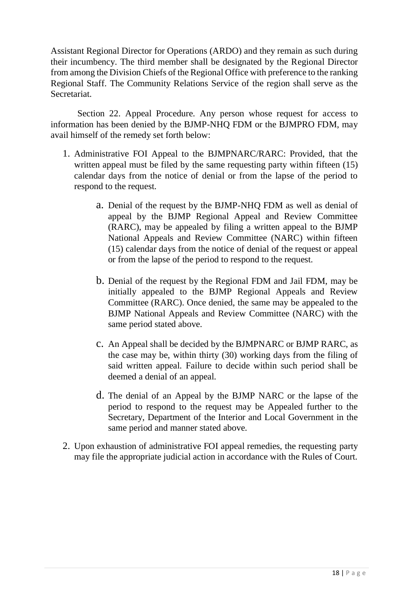Assistant Regional Director for Operations (ARDO) and they remain as such during their incumbency. The third member shall be designated by the Regional Director from among the Division Chiefs of the Regional Office with preference to the ranking Regional Staff. The Community Relations Service of the region shall serve as the Secretariat.

Section 22. Appeal Procedure. Any person whose request for access to information has been denied by the BJMP-NHQ FDM or the BJMPRO FDM, may avail himself of the remedy set forth below:

- 1. Administrative FOI Appeal to the BJMPNARC/RARC: Provided, that the written appeal must be filed by the same requesting party within fifteen (15) calendar days from the notice of denial or from the lapse of the period to respond to the request.
	- a. Denial of the request by the BJMP-NHQ FDM as well as denial of appeal by the BJMP Regional Appeal and Review Committee (RARC), may be appealed by filing a written appeal to the BJMP National Appeals and Review Committee (NARC) within fifteen (15) calendar days from the notice of denial of the request or appeal or from the lapse of the period to respond to the request.
	- b. Denial of the request by the Regional FDM and Jail FDM, may be initially appealed to the BJMP Regional Appeals and Review Committee (RARC). Once denied, the same may be appealed to the BJMP National Appeals and Review Committee (NARC) with the same period stated above.
	- c. An Appeal shall be decided by the BJMPNARC or BJMP RARC, as the case may be, within thirty (30) working days from the filing of said written appeal. Failure to decide within such period shall be deemed a denial of an appeal.
	- d. The denial of an Appeal by the BJMP NARC or the lapse of the period to respond to the request may be Appealed further to the Secretary, Department of the Interior and Local Government in the same period and manner stated above.
- 2. Upon exhaustion of administrative FOI appeal remedies, the requesting party may file the appropriate judicial action in accordance with the Rules of Court.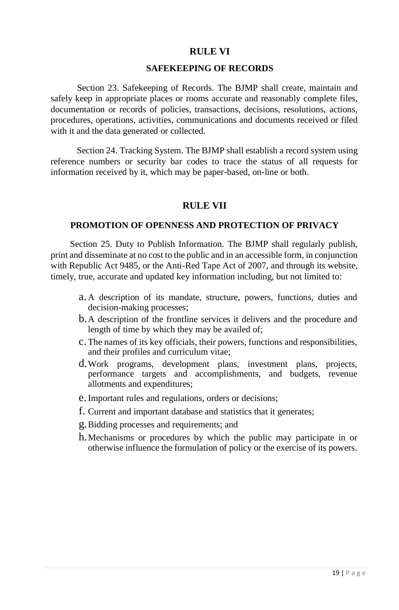### **RULE VI**

#### **SAFEKEEPING OF RECORDS**

Section 23. Safekeeping of Records. The BJMP shall create, maintain and safely keep in appropriate places or rooms accurate and reasonably complete files, documentation or records of policies, transactions, decisions, resolutions, actions, procedures, operations, activities, communications and documents received or filed with it and the data generated or collected.

Section 24. Tracking System. The BJMP shall establish a record system using reference numbers or security bar codes to trace the status of all requests for information received by it, which may be paper-based, on-line or both.

### **RULE VII**

#### **PROMOTION OF OPENNESS AND PROTECTION OF PRIVACY**

Section 25. Duty to Publish Information. The BJMP shall regularly publish, print and disseminate at no cost to the public and in an accessible form, in conjunction with Republic Act 9485, or the Anti-Red Tape Act of 2007, and through its website, timely, true, accurate and updated key information including, but not limited to:

- a. A description of its mandate, structure, powers, functions, duties and decision-making processes;
- b.A description of the frontline services it delivers and the procedure and length of time by which they may be availed of;
- c. The names of its key officials, their powers, functions and responsibilities, and their profiles and curriculum vitae;
- d.Work programs, development plans, investment plans, projects, performance targets and accomplishments, and budgets, revenue allotments and expenditures;
- e. Important rules and regulations, orders or decisions;
- f. Current and important database and statistics that it generates;
- g.Bidding processes and requirements; and
- h.Mechanisms or procedures by which the public may participate in or otherwise influence the formulation of policy or the exercise of its powers.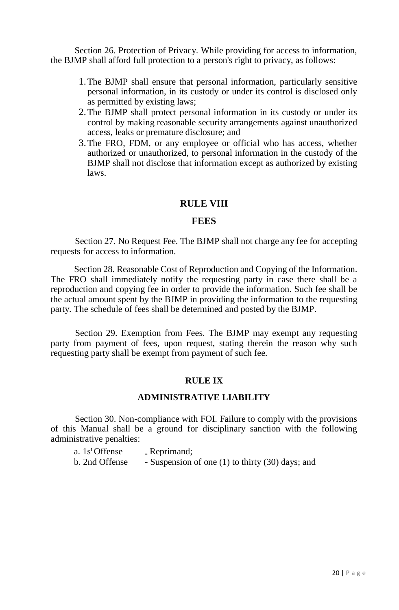Section 26. Protection of Privacy. While providing for access to information, the BJMP shall afford full protection to a person's right to privacy, as follows:

- 1.The BJMP shall ensure that personal information, particularly sensitive personal information, in its custody or under its control is disclosed only as permitted by existing laws;
- 2.The BJMP shall protect personal information in its custody or under its control by making reasonable security arrangements against unauthorized access, leaks or premature disclosure; and
- 3.The FRO, FDM, or any employee or official who has access, whether authorized or unauthorized, to personal information in the custody of the BJMP shall not disclose that information except as authorized by existing laws.

### **RULE VIII**

#### **FEES**

Section 27. No Request Fee. The BJMP shall not charge any fee for accepting requests for access to information.

Section 28. Reasonable Cost of Reproduction and Copying of the Information. The FRO shall immediately notify the requesting party in case there shall be a reproduction and copying fee in order to provide the information. Such fee shall be the actual amount spent by the BJMP in providing the information to the requesting party. The schedule of fees shall be determined and posted by the BJMP.

Section 29. Exemption from Fees. The BJMP may exempt any requesting party from payment of fees, upon request, stating therein the reason why such requesting party shall be exempt from payment of such fee.

#### **RULE IX**

#### **ADMINISTRATIVE LIABILITY**

Section 30. Non-compliance with FOI. Failure to comply with the provisions of this Manual shall be a ground for disciplinary sanction with the following administrative penalties:

| a. $1st$ Offense | - Reprimand;                                     |
|------------------|--------------------------------------------------|
| b. 2nd Offense   | - Suspension of one (1) to thirty (30) days; and |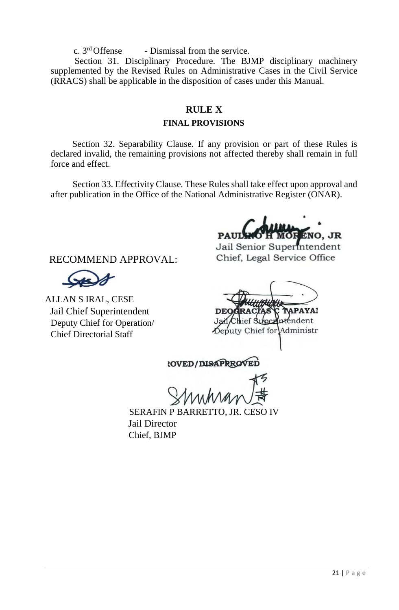c.  $3<sup>rd</sup>$  Offense - Dismissal from the service.

Section 31. Disciplinary Procedure. The BJMP disciplinary machinery supplemented by the Revised Rules on Administrative Cases in the Civil Service (RRACS) shall be applicable in the disposition of cases under this Manual.

### **RULE X**

### **FINAL PROVISIONS**

Section 32. Separability Clause. If any provision or part of these Rules is declared invalid, the remaining provisions not affected thereby shall remain in full force and effect.

Section 33. Effectivity Clause. These Rules shall take effect upon approval and after publication in the Office of the National Administrative Register (ONAR).

NO. JR

Jail Senior Superintendent Chief, Legal Service Office

RECOMMEND APPROVAL:

ALLAN S IRAL, CESE Jail Chief Superintendent Deputy Chief for Operation/ Chief Directorial Staff

Chief for Administr

**COVED/DISAPRROVED** 

SERAFIN P BARRETTO, JR. CESO IV Jail Director Chief, BJMP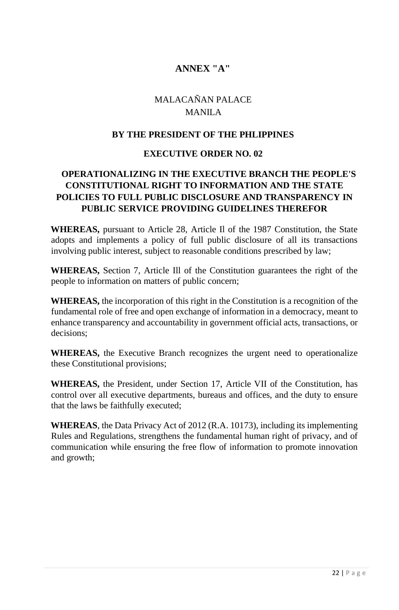### **ANNEX "A"**

### MALACAÑAN PALACE MANILA

### **BY THE PRESIDENT OF THE PHLIPPINES**

### **EXECUTIVE ORDER NO. 02**

### **OPERATIONALIZING IN THE EXECUTIVE BRANCH THE PEOPLE'S CONSTITUTIONAL RIGHT TO INFORMATION AND THE STATE POLICIES TO FULL PUBLIC DISCLOSURE AND TRANSPARENCY IN PUBLIC SERVICE PROVIDING GUIDELINES THEREFOR**

**WHEREAS,** pursuant to Article 28, Article Il of the 1987 Constitution, the State adopts and implements a policy of full public disclosure of all its transactions involving public interest, subject to reasonable conditions prescribed by law;

**WHEREAS,** Section 7, Article Ill of the Constitution guarantees the right of the people to information on matters of public concern;

**WHEREAS,** the incorporation of this right in the Constitution is a recognition of the fundamental role of free and open exchange of information in a democracy, meant to enhance transparency and accountability in government official acts, transactions, or decisions;

**WHEREAS,** the Executive Branch recognizes the urgent need to operationalize these Constitutional provisions;

**WHEREAS,** the President, under Section 17, Article VII of the Constitution, has control over all executive departments, bureaus and offices, and the duty to ensure that the laws be faithfully executed;

**WHEREAS**, the Data Privacy Act of 2012 (R.A. 10173), including its implementing Rules and Regulations, strengthens the fundamental human right of privacy, and of communication while ensuring the free flow of information to promote innovation and growth;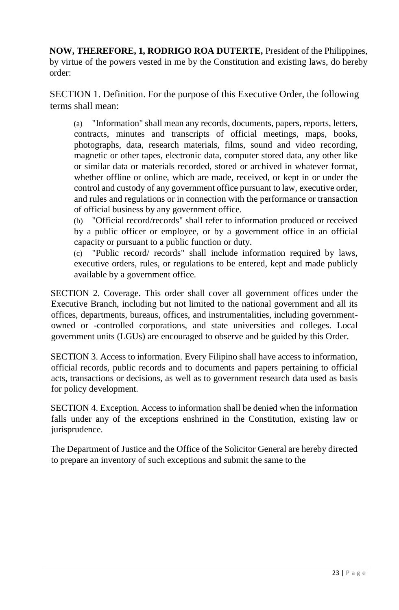**NOW, THEREFORE, 1, RODRIGO ROA DUTERTE,** President of the Philippines, by virtue of the powers vested in me by the Constitution and existing laws, do hereby order:

SECTION 1. Definition. For the purpose of this Executive Order, the following terms shall mean:

(a) "Information" shall mean any records, documents, papers, reports, letters, contracts, minutes and transcripts of official meetings, maps, books, photographs, data, research materials, films, sound and video recording, magnetic or other tapes, electronic data, computer stored data, any other like or similar data or materials recorded, stored or archived in whatever format, whether offline or online, which are made, received, or kept in or under the control and custody of any government office pursuant to law, executive order, and rules and regulations or in connection with the performance or transaction of official business by any government office.

(b) "Official record/records" shall refer to information produced or received by a public officer or employee, or by a government office in an official capacity or pursuant to a public function or duty.

(c) "Public record/ records" shall include information required by laws, executive orders, rules, or regulations to be entered, kept and made publicly available by a government office.

SECTION 2. Coverage. This order shall cover all government offices under the Executive Branch, including but not limited to the national government and all its offices, departments, bureaus, offices, and instrumentalities, including governmentowned or -controlled corporations, and state universities and colleges. Local government units (LGUs) are encouraged to observe and be guided by this Order.

SECTION 3. Access to information. Every Filipino shall have access to information, official records, public records and to documents and papers pertaining to official acts, transactions or decisions, as well as to government research data used as basis for policy development.

SECTION 4. Exception. Access to information shall be denied when the information falls under any of the exceptions enshrined in the Constitution, existing law or jurisprudence.

The Department of Justice and the Office of the Solicitor General are hereby directed to prepare an inventory of such exceptions and submit the same to the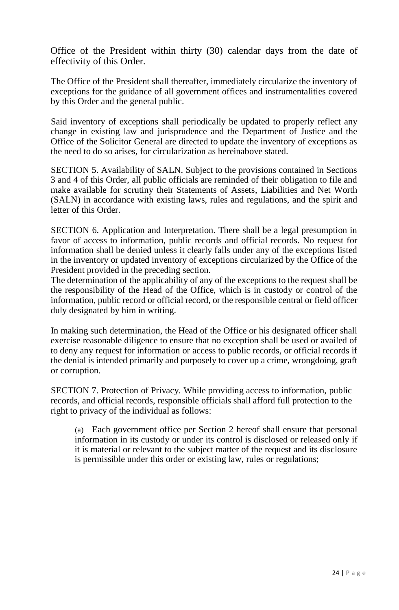Office of the President within thirty (30) calendar days from the date of effectivity of this Order.

The Office of the President shall thereafter, immediately circularize the inventory of exceptions for the guidance of all government offices and instrumentalities covered by this Order and the general public.

Said inventory of exceptions shall periodically be updated to properly reflect any change in existing law and jurisprudence and the Department of Justice and the Office of the Solicitor General are directed to update the inventory of exceptions as the need to do so arises, for circularization as hereinabove stated.

SECTION 5. Availability of SALN. Subject to the provisions contained in Sections 3 and 4 of this Order, all public officials are reminded of their obligation to file and make available for scrutiny their Statements of Assets, Liabilities and Net Worth (SALN) in accordance with existing laws, rules and regulations, and the spirit and letter of this Order.

SECTION 6. Application and Interpretation. There shall be a legal presumption in favor of access to information, public records and official records. No request for information shall be denied unless it clearly falls under any of the exceptions listed in the inventory or updated inventory of exceptions circularized by the Office of the President provided in the preceding section.

The determination of the applicability of any of the exceptions to the request shall be the responsibility of the Head of the Office, which is in custody or control of the information, public record or official record, or the responsible central or field officer duly designated by him in writing.

In making such determination, the Head of the Office or his designated officer shall exercise reasonable diligence to ensure that no exception shall be used or availed of to deny any request for information or access to public records, or official records if the denial is intended primarily and purposely to cover up a crime, wrongdoing, graft or corruption.

SECTION 7. Protection of Privacy. While providing access to information, public records, and official records, responsible officials shall afford full protection to the right to privacy of the individual as follows:

(a) Each government office per Section 2 hereof shall ensure that personal information in its custody or under its control is disclosed or released only if it is material or relevant to the subject matter of the request and its disclosure is permissible under this order or existing law, rules or regulations;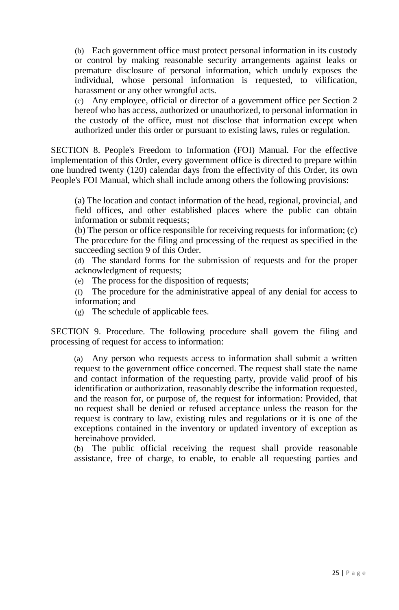(b) Each government office must protect personal information in its custody or control by making reasonable security arrangements against leaks or premature disclosure of personal information, which unduly exposes the individual, whose personal information is requested, to vilification, harassment or any other wrongful acts.

(c) Any employee, official or director of a government office per Section 2 hereof who has access, authorized or unauthorized, to personal information in the custody of the office, must not disclose that information except when authorized under this order or pursuant to existing laws, rules or regulation.

SECTION 8. People's Freedom to Information (FOI) Manual. For the effective implementation of this Order, every government office is directed to prepare within one hundred twenty (120) calendar days from the effectivity of this Order, its own People's FOI Manual, which shall include among others the following provisions:

(a) The location and contact information of the head, regional, provincial, and field offices, and other established places where the public can obtain information or submit requests;

(b) The person or office responsible for receiving requests for information; (c) The procedure for the filing and processing of the request as specified in the succeeding section 9 of this Order.

(d) The standard forms for the submission of requests and for the proper acknowledgment of requests;

(e) The process for the disposition of requests;

(f) The procedure for the administrative appeal of any denial for access to information; and

(g) The schedule of applicable fees.

SECTION 9. Procedure. The following procedure shall govern the filing and processing of request for access to information:

(a) Any person who requests access to information shall submit a written request to the government office concerned. The request shall state the name and contact information of the requesting party, provide valid proof of his identification or authorization, reasonably describe the information requested, and the reason for, or purpose of, the request for information: Provided, that no request shall be denied or refused acceptance unless the reason for the request is contrary to law, existing rules and regulations or it is one of the exceptions contained in the inventory or updated inventory of exception as hereinabove provided.

(b) The public official receiving the request shall provide reasonable assistance, free of charge, to enable, to enable all requesting parties and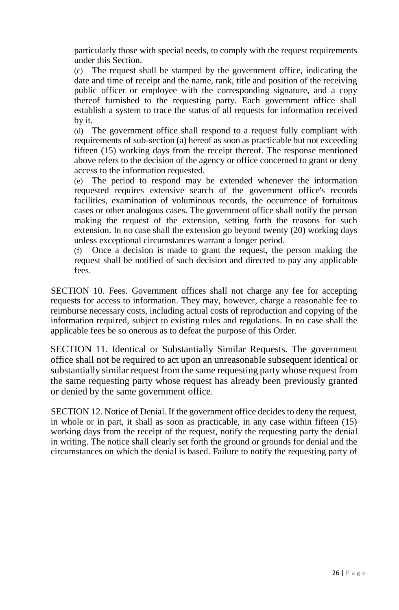particularly those with special needs, to comply with the request requirements under this Section.

(c) The request shall be stamped by the government office, indicating the date and time of receipt and the name, rank, title and position of the receiving public officer or employee with the corresponding signature, and a copy thereof furnished to the requesting party. Each government office shall establish a system to trace the status of all requests for information received by it.

(d) The government office shall respond to a request fully compliant with requirements of sub-section (a) hereof as soon as practicable but not exceeding fifteen (15) working days from the receipt thereof. The response mentioned above refers to the decision of the agency or office concerned to grant or deny access to the information requested.

(e) The period to respond may be extended whenever the information requested requires extensive search of the government office's records facilities, examination of voluminous records, the occurrence of fortuitous cases or other analogous cases. The government office shall notify the person making the request of the extension, setting forth the reasons for such extension. In no case shall the extension go beyond twenty (20) working days unless exceptional circumstances warrant a longer period.

(f) Once a decision is made to grant the request, the person making the request shall be notified of such decision and directed to pay any applicable fees.

SECTION 10. Fees. Government offices shall not charge any fee for accepting requests for access to information. They may, however, charge a reasonable fee to reimburse necessary costs, including actual costs of reproduction and copying of the information required, subject to existing rules and regulations. In no case shall the applicable fees be so onerous as to defeat the purpose of this Order.

SECTION 11. Identical or Substantially Similar Requests. The government office shall not be required to act upon an unreasonable subsequent identical or substantially similar request from the same requesting party whose request from the same requesting party whose request has already been previously granted or denied by the same government office.

SECTION 12. Notice of Denial. If the government office decides to deny the request, in whole or in part, it shall as soon as practicable, in any case within fifteen (15) working days from the receipt of the request, notify the requesting party the denial in writing. The notice shall clearly set forth the ground or grounds for denial and the circumstances on which the denial is based. Failure to notify the requesting party of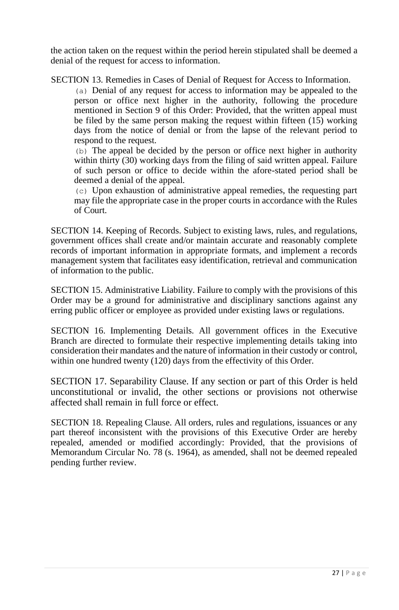the action taken on the request within the period herein stipulated shall be deemed a denial of the request for access to information.

SECTION 13. Remedies in Cases of Denial of Request for Access to Information.

(a) Denial of any request for access to information may be appealed to the person or office next higher in the authority, following the procedure mentioned in Section 9 of this Order: Provided, that the written appeal must be filed by the same person making the request within fifteen (15) working days from the notice of denial or from the lapse of the relevant period to respond to the request.

(b) The appeal be decided by the person or office next higher in authority within thirty (30) working days from the filing of said written appeal. Failure of such person or office to decide within the afore-stated period shall be deemed a denial of the appeal.

(c) Upon exhaustion of administrative appeal remedies, the requesting part may file the appropriate case in the proper courts in accordance with the Rules of Court.

SECTION 14. Keeping of Records. Subject to existing laws, rules, and regulations, government offices shall create and/or maintain accurate and reasonably complete records of important information in appropriate formats, and implement a records management system that facilitates easy identification, retrieval and communication of information to the public.

SECTION 15. Administrative Liability. Failure to comply with the provisions of this Order may be a ground for administrative and disciplinary sanctions against any erring public officer or employee as provided under existing laws or regulations.

SECTION 16. Implementing Details. All government offices in the Executive Branch are directed to formulate their respective implementing details taking into consideration their mandates and the nature of information in their custody or control, within one hundred twenty (120) days from the effectivity of this Order.

SECTION 17. Separability Clause. If any section or part of this Order is held unconstitutional or invalid, the other sections or provisions not otherwise affected shall remain in full force or effect.

SECTION 18. Repealing Clause. All orders, rules and regulations, issuances or any part thereof inconsistent with the provisions of this Executive Order are hereby repealed, amended or modified accordingly: Provided, that the provisions of Memorandum Circular No. 78 (s. 1964), as amended, shall not be deemed repealed pending further review.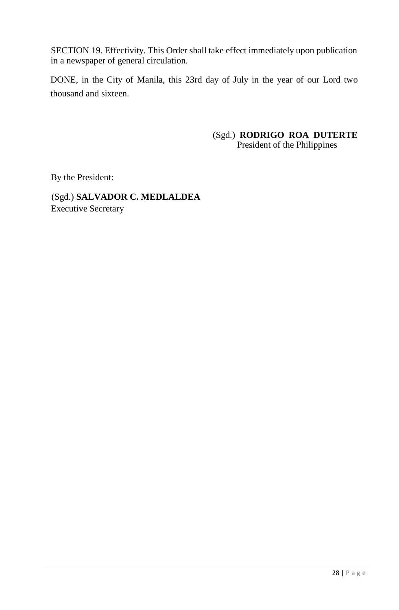SECTION 19. Effectivity. This Order shall take effect immediately upon publication in a newspaper of general circulation.

DONE, in the City of Manila, this 23rd day of July in the year of our Lord two thousand and sixteen.

> (Sgd.) **RODRIGO ROA DUTERTE** President of the Philippines

By the President:

(Sgd.) **SALVADOR C. MEDLALDEA** Executive Secretary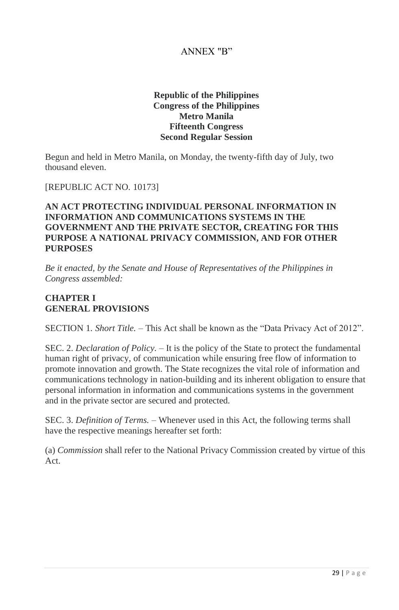### ANNEX "B"

### **Republic of the Philippines Congress of the Philippines Metro Manila Fifteenth Congress Second Regular Session**

Begun and held in Metro Manila, on Monday, the twenty-fifth day of July, two thousand eleven.

#### [REPUBLIC ACT NO. 10173]

### **AN ACT PROTECTING INDIVIDUAL PERSONAL INFORMATION IN INFORMATION AND COMMUNICATIONS SYSTEMS IN THE GOVERNMENT AND THE PRIVATE SECTOR, CREATING FOR THIS PURPOSE A NATIONAL PRIVACY COMMISSION, AND FOR OTHER PURPOSES**

*Be it enacted, by the Senate and House of Representatives of the Philippines in Congress assembled:*

### **CHAPTER I GENERAL PROVISIONS**

SECTION 1*. Short Title. –* This Act shall be known as the "Data Privacy Act of 2012".

SEC. 2. *Declaration of Policy. –* It is the policy of the State to protect the fundamental human right of privacy, of communication while ensuring free flow of information to promote innovation and growth. The State recognizes the vital role of information and communications technology in nation-building and its inherent obligation to ensure that personal information in information and communications systems in the government and in the private sector are secured and protected.

SEC. 3. *Definition of Terms.* – Whenever used in this Act, the following terms shall have the respective meanings hereafter set forth:

(a) *Commission* shall refer to the National Privacy Commission created by virtue of this Act.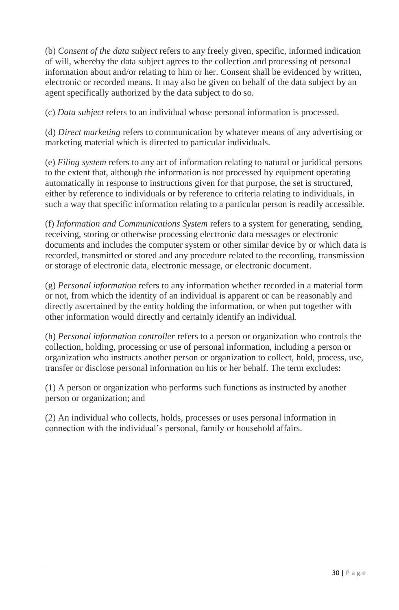(b) *Consent of the data subject* refers to any freely given, specific, informed indication of will, whereby the data subject agrees to the collection and processing of personal information about and/or relating to him or her. Consent shall be evidenced by written, electronic or recorded means. It may also be given on behalf of the data subject by an agent specifically authorized by the data subject to do so.

(c) *Data subject* refers to an individual whose personal information is processed.

(d) *Direct marketing* refers to communication by whatever means of any advertising or marketing material which is directed to particular individuals.

(e) *Filing system* refers to any act of information relating to natural or juridical persons to the extent that, although the information is not processed by equipment operating automatically in response to instructions given for that purpose, the set is structured, either by reference to individuals or by reference to criteria relating to individuals, in such a way that specific information relating to a particular person is readily accessible.

(f) *Information and Communications System* refers to a system for generating, sending, receiving, storing or otherwise processing electronic data messages or electronic documents and includes the computer system or other similar device by or which data is recorded, transmitted or stored and any procedure related to the recording, transmission or storage of electronic data, electronic message, or electronic document.

(g) *Personal information* refers to any information whether recorded in a material form or not, from which the identity of an individual is apparent or can be reasonably and directly ascertained by the entity holding the information, or when put together with other information would directly and certainly identify an individual.

(h) *Personal information controller* refers to a person or organization who controls the collection, holding, processing or use of personal information, including a person or organization who instructs another person or organization to collect, hold, process, use, transfer or disclose personal information on his or her behalf. The term excludes:

(1) A person or organization who performs such functions as instructed by another person or organization; and

(2) An individual who collects, holds, processes or uses personal information in connection with the individual's personal, family or household affairs.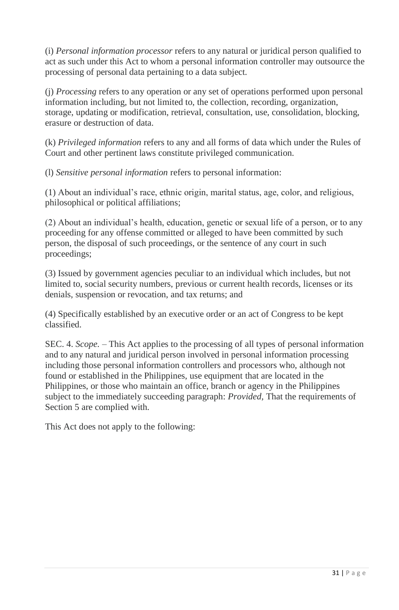(i) *Personal information processor* refers to any natural or juridical person qualified to act as such under this Act to whom a personal information controller may outsource the processing of personal data pertaining to a data subject.

(j) *Processing* refers to any operation or any set of operations performed upon personal information including, but not limited to, the collection, recording, organization, storage, updating or modification, retrieval, consultation, use, consolidation, blocking, erasure or destruction of data.

(k) *Privileged information* refers to any and all forms of data which under the Rules of Court and other pertinent laws constitute privileged communication.

(l) *Sensitive personal information* refers to personal information:

(1) About an individual's race, ethnic origin, marital status, age, color, and religious, philosophical or political affiliations;

(2) About an individual's health, education, genetic or sexual life of a person, or to any proceeding for any offense committed or alleged to have been committed by such person, the disposal of such proceedings, or the sentence of any court in such proceedings;

(3) Issued by government agencies peculiar to an individual which includes, but not limited to, social security numbers, previous or current health records, licenses or its denials, suspension or revocation, and tax returns; and

(4) Specifically established by an executive order or an act of Congress to be kept classified.

SEC. 4. *Scope.* – This Act applies to the processing of all types of personal information and to any natural and juridical person involved in personal information processing including those personal information controllers and processors who, although not found or established in the Philippines, use equipment that are located in the Philippines, or those who maintain an office, branch or agency in the Philippines subject to the immediately succeeding paragraph: *Provided,* That the requirements of Section 5 are complied with.

This Act does not apply to the following: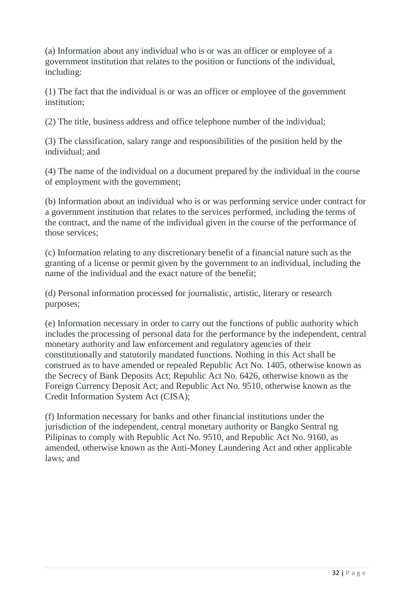(a) Information about any individual who is or was an officer or employee of a government institution that relates to the position or functions of the individual, including:

(1) The fact that the individual is or was an officer or employee of the government institution;

(2) The title, business address and office telephone number of the individual;

(3) The classification, salary range and responsibilities of the position held by the individual; and

(4) The name of the individual on a document prepared by the individual in the course of employment with the government;

(b) Information about an individual who is or was performing service under contract for a government institution that relates to the services performed, including the terms of the contract, and the name of the individual given in the course of the performance of those services;

(c) Information relating to any discretionary benefit of a financial nature such as the granting of a license or permit given by the government to an individual, including the name of the individual and the exact nature of the benefit;

(d) Personal information processed for journalistic, artistic, literary or research purposes;

(e) Information necessary in order to carry out the functions of public authority which includes the processing of personal data for the performance by the independent, central monetary authority and law enforcement and regulatory agencies of their constitutionally and statutorily mandated functions. Nothing in this Act shall be construed as to have amended or repealed Republic Act No. 1405, otherwise known as the Secrecy of Bank Deposits Act; Republic Act No. 6426, otherwise known as the Foreign Currency Deposit Act; and Republic Act No. 9510, otherwise known as the Credit Information System Act (CISA);

(f) Information necessary for banks and other financial institutions under the jurisdiction of the independent, central monetary authority or Bangko Sentral ng Pilipinas to comply with Republic Act No. 9510, and Republic Act No. 9160, as amended, otherwise known as the Anti-Money Laundering Act and other applicable laws; and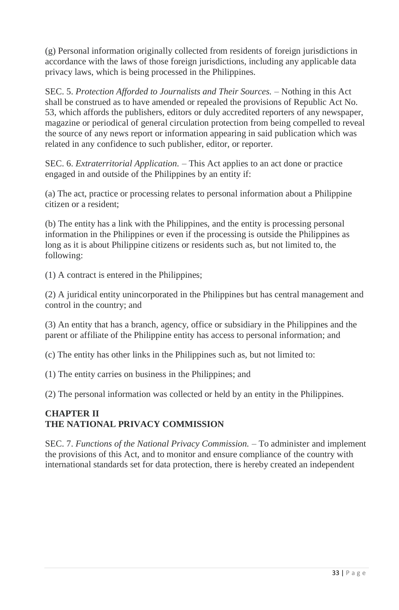(g) Personal information originally collected from residents of foreign jurisdictions in accordance with the laws of those foreign jurisdictions, including any applicable data privacy laws, which is being processed in the Philippines.

SEC. 5. *Protection Afforded to Journalists and Their Sources. –* Nothing in this Act shall be construed as to have amended or repealed the provisions of Republic Act No. 53, which affords the publishers, editors or duly accredited reporters of any newspaper, magazine or periodical of general circulation protection from being compelled to reveal the source of any news report or information appearing in said publication which was related in any confidence to such publisher, editor, or reporter.

SEC. 6. *Extraterritorial Application. –* This Act applies to an act done or practice engaged in and outside of the Philippines by an entity if:

(a) The act, practice or processing relates to personal information about a Philippine citizen or a resident;

(b) The entity has a link with the Philippines, and the entity is processing personal information in the Philippines or even if the processing is outside the Philippines as long as it is about Philippine citizens or residents such as, but not limited to, the following:

(1) A contract is entered in the Philippines;

(2) A juridical entity unincorporated in the Philippines but has central management and control in the country; and

(3) An entity that has a branch, agency, office or subsidiary in the Philippines and the parent or affiliate of the Philippine entity has access to personal information; and

(c) The entity has other links in the Philippines such as, but not limited to:

(1) The entity carries on business in the Philippines; and

(2) The personal information was collected or held by an entity in the Philippines.

### **CHAPTER II THE NATIONAL PRIVACY COMMISSION**

SEC. 7. *Functions of the National Privacy Commission. –* To administer and implement the provisions of this Act, and to monitor and ensure compliance of the country with international standards set for data protection, there is hereby created an independent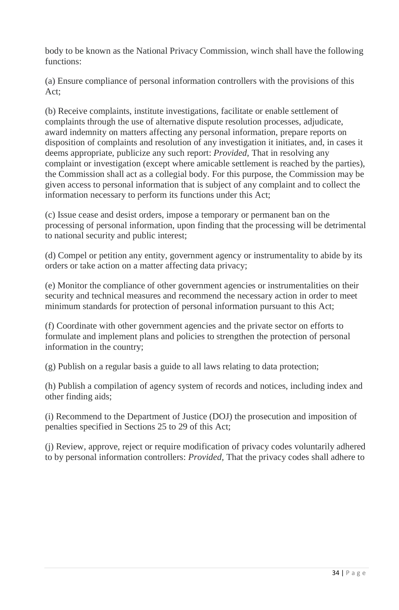body to be known as the National Privacy Commission, winch shall have the following functions:

(a) Ensure compliance of personal information controllers with the provisions of this Act;

(b) Receive complaints, institute investigations, facilitate or enable settlement of complaints through the use of alternative dispute resolution processes, adjudicate, award indemnity on matters affecting any personal information, prepare reports on disposition of complaints and resolution of any investigation it initiates, and, in cases it deems appropriate, publicize any such report: *Provided,* That in resolving any complaint or investigation (except where amicable settlement is reached by the parties), the Commission shall act as a collegial body. For this purpose, the Commission may be given access to personal information that is subject of any complaint and to collect the information necessary to perform its functions under this Act;

(c) Issue cease and desist orders, impose a temporary or permanent ban on the processing of personal information, upon finding that the processing will be detrimental to national security and public interest;

(d) Compel or petition any entity, government agency or instrumentality to abide by its orders or take action on a matter affecting data privacy;

(e) Monitor the compliance of other government agencies or instrumentalities on their security and technical measures and recommend the necessary action in order to meet minimum standards for protection of personal information pursuant to this Act;

(f) Coordinate with other government agencies and the private sector on efforts to formulate and implement plans and policies to strengthen the protection of personal information in the country;

(g) Publish on a regular basis a guide to all laws relating to data protection;

(h) Publish a compilation of agency system of records and notices, including index and other finding aids;

(i) Recommend to the Department of Justice (DOJ) the prosecution and imposition of penalties specified in Sections 25 to 29 of this Act;

(j) Review, approve, reject or require modification of privacy codes voluntarily adhered to by personal information controllers: *Provided,* That the privacy codes shall adhere to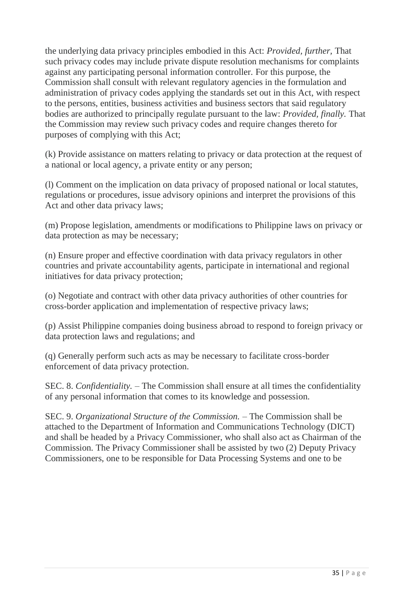the underlying data privacy principles embodied in this Act: *Provided, further,* That such privacy codes may include private dispute resolution mechanisms for complaints against any participating personal information controller. For this purpose, the Commission shall consult with relevant regulatory agencies in the formulation and administration of privacy codes applying the standards set out in this Act, with respect to the persons, entities, business activities and business sectors that said regulatory bodies are authorized to principally regulate pursuant to the law: *Provided, finally.* That the Commission may review such privacy codes and require changes thereto for purposes of complying with this Act;

(k) Provide assistance on matters relating to privacy or data protection at the request of a national or local agency, a private entity or any person;

(l) Comment on the implication on data privacy of proposed national or local statutes, regulations or procedures, issue advisory opinions and interpret the provisions of this Act and other data privacy laws;

(m) Propose legislation, amendments or modifications to Philippine laws on privacy or data protection as may be necessary;

(n) Ensure proper and effective coordination with data privacy regulators in other countries and private accountability agents, participate in international and regional initiatives for data privacy protection;

(o) Negotiate and contract with other data privacy authorities of other countries for cross-border application and implementation of respective privacy laws;

(p) Assist Philippine companies doing business abroad to respond to foreign privacy or data protection laws and regulations; and

(q) Generally perform such acts as may be necessary to facilitate cross-border enforcement of data privacy protection.

SEC. 8. *Confidentiality. –* The Commission shall ensure at all times the confidentiality of any personal information that comes to its knowledge and possession.

SEC. 9. *Organizational Structure of the Commission. –* The Commission shall be attached to the Department of Information and Communications Technology (DICT) and shall be headed by a Privacy Commissioner, who shall also act as Chairman of the Commission. The Privacy Commissioner shall be assisted by two (2) Deputy Privacy Commissioners, one to be responsible for Data Processing Systems and one to be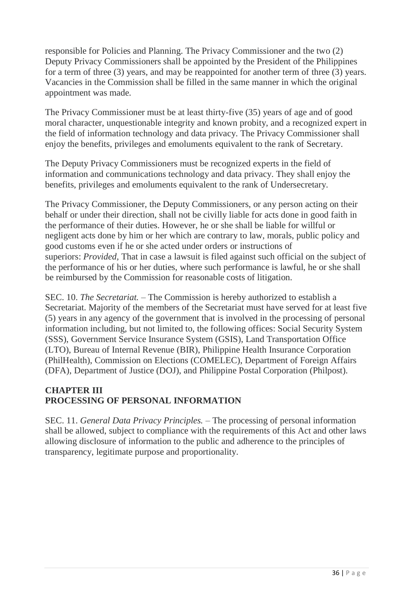responsible for Policies and Planning. The Privacy Commissioner and the two (2) Deputy Privacy Commissioners shall be appointed by the President of the Philippines for a term of three (3) years, and may be reappointed for another term of three (3) years. Vacancies in the Commission shall be filled in the same manner in which the original appointment was made.

The Privacy Commissioner must be at least thirty-five (35) years of age and of good moral character, unquestionable integrity and known probity, and a recognized expert in the field of information technology and data privacy. The Privacy Commissioner shall enjoy the benefits, privileges and emoluments equivalent to the rank of Secretary.

The Deputy Privacy Commissioners must be recognized experts in the field of information and communications technology and data privacy. They shall enjoy the benefits, privileges and emoluments equivalent to the rank of Undersecretary.

The Privacy Commissioner, the Deputy Commissioners, or any person acting on their behalf or under their direction, shall not be civilly liable for acts done in good faith in the performance of their duties. However, he or she shall be liable for willful or negligent acts done by him or her which are contrary to law, morals, public policy and good customs even if he or she acted under orders or instructions of superiors: *Provided,* That in case a lawsuit is filed against such official on the subject of the performance of his or her duties, where such performance is lawful, he or she shall be reimbursed by the Commission for reasonable costs of litigation.

SEC. 10. *The Secretariat.* – The Commission is hereby authorized to establish a Secretariat. Majority of the members of the Secretariat must have served for at least five (5) years in any agency of the government that is involved in the processing of personal information including, but not limited to, the following offices: Social Security System (SSS), Government Service Insurance System (GSIS), Land Transportation Office (LTO), Bureau of Internal Revenue (BIR), Philippine Health Insurance Corporation (PhilHealth), Commission on Elections (COMELEC), Department of Foreign Affairs (DFA), Department of Justice (DOJ), and Philippine Postal Corporation (Philpost).

### **CHAPTER III PROCESSING OF PERSONAL INFORMATION**

SEC. 11. *General Data Privacy Principles.* – The processing of personal information shall be allowed, subject to compliance with the requirements of this Act and other laws allowing disclosure of information to the public and adherence to the principles of transparency, legitimate purpose and proportionality.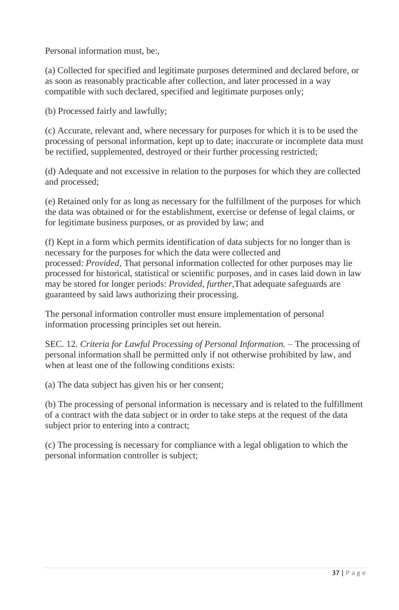Personal information must, be:,

(a) Collected for specified and legitimate purposes determined and declared before, or as soon as reasonably practicable after collection, and later processed in a way compatible with such declared, specified and legitimate purposes only;

(b) Processed fairly and lawfully;

(c) Accurate, relevant and, where necessary for purposes for which it is to be used the processing of personal information, kept up to date; inaccurate or incomplete data must be rectified, supplemented, destroyed or their further processing restricted;

(d) Adequate and not excessive in relation to the purposes for which they are collected and processed;

(e) Retained only for as long as necessary for the fulfillment of the purposes for which the data was obtained or for the establishment, exercise or defense of legal claims, or for legitimate business purposes, or as provided by law; and

(f) Kept in a form which permits identification of data subjects for no longer than is necessary for the purposes for which the data were collected and processed: *Provided,* That personal information collected for other purposes may lie processed for historical, statistical or scientific purposes, and in cases laid down in law may be stored for longer periods: *Provided, further,*That adequate safeguards are guaranteed by said laws authorizing their processing.

The personal information controller must ensure implementation of personal information processing principles set out herein.

SEC. 12. *Criteria for Lawful Processing of Personal Information.* – The processing of personal information shall be permitted only if not otherwise prohibited by law, and when at least one of the following conditions exists:

(a) The data subject has given his or her consent;

(b) The processing of personal information is necessary and is related to the fulfillment of a contract with the data subject or in order to take steps at the request of the data subject prior to entering into a contract;

(c) The processing is necessary for compliance with a legal obligation to which the personal information controller is subject;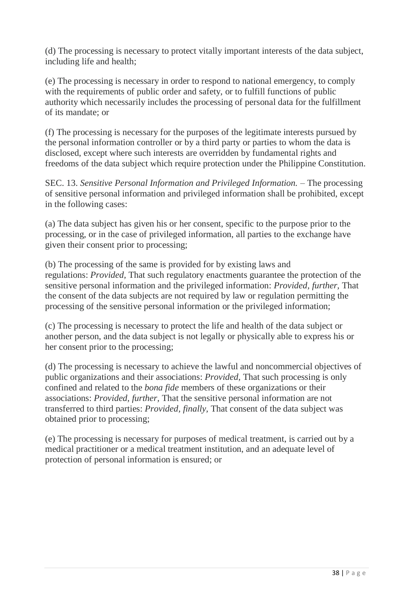(d) The processing is necessary to protect vitally important interests of the data subject, including life and health;

(e) The processing is necessary in order to respond to national emergency, to comply with the requirements of public order and safety, or to fulfill functions of public authority which necessarily includes the processing of personal data for the fulfillment of its mandate; or

(f) The processing is necessary for the purposes of the legitimate interests pursued by the personal information controller or by a third party or parties to whom the data is disclosed, except where such interests are overridden by fundamental rights and freedoms of the data subject which require protection under the Philippine Constitution.

SEC. 13. *Sensitive Personal Information and Privileged Information.* – The processing of sensitive personal information and privileged information shall be prohibited, except in the following cases:

(a) The data subject has given his or her consent, specific to the purpose prior to the processing, or in the case of privileged information, all parties to the exchange have given their consent prior to processing;

(b) The processing of the same is provided for by existing laws and regulations: *Provided,* That such regulatory enactments guarantee the protection of the sensitive personal information and the privileged information: *Provided, further,* That the consent of the data subjects are not required by law or regulation permitting the processing of the sensitive personal information or the privileged information;

(c) The processing is necessary to protect the life and health of the data subject or another person, and the data subject is not legally or physically able to express his or her consent prior to the processing;

(d) The processing is necessary to achieve the lawful and noncommercial objectives of public organizations and their associations: *Provided,* That such processing is only confined and related to the *bona fide* members of these organizations or their associations: *Provided, further,* That the sensitive personal information are not transferred to third parties: *Provided, finally,* That consent of the data subject was obtained prior to processing;

(e) The processing is necessary for purposes of medical treatment, is carried out by a medical practitioner or a medical treatment institution, and an adequate level of protection of personal information is ensured; or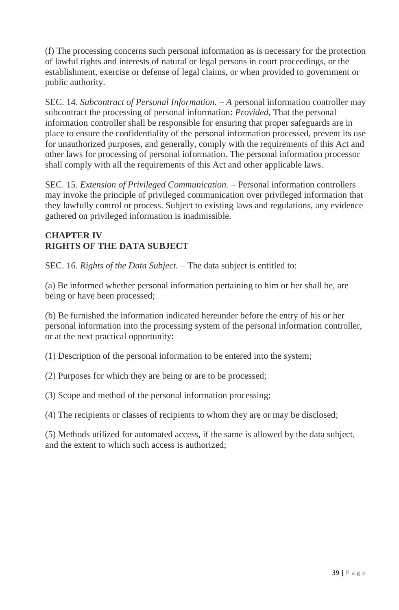(f) The processing concerns such personal information as is necessary for the protection of lawful rights and interests of natural or legal persons in court proceedings, or the establishment, exercise or defense of legal claims, or when provided to government or public authority.

SEC. 14. *Subcontract of Personal Information. – A* personal information controller may subcontract the processing of personal information: *Provided,* That the personal information controller shall be responsible for ensuring that proper safeguards are in place to ensure the confidentiality of the personal information processed, prevent its use for unauthorized purposes, and generally, comply with the requirements of this Act and other laws for processing of personal information. The personal information processor shall comply with all the requirements of this Act and other applicable laws.

SEC. 15. *Extension of Privileged Communication. –* Personal information controllers may invoke the principle of privileged communication over privileged information that they lawfully control or process. Subject to existing laws and regulations, any evidence gathered on privileged information is inadmissible.

### **CHAPTER IV RIGHTS OF THE DATA SUBJECT**

SEC. 16. *Rights of the Data Subject.* – The data subject is entitled to:

(a) Be informed whether personal information pertaining to him or her shall be, are being or have been processed;

(b) Be furnished the information indicated hereunder before the entry of his or her personal information into the processing system of the personal information controller, or at the next practical opportunity:

(1) Description of the personal information to be entered into the system;

(2) Purposes for which they are being or are to be processed;

(3) Scope and method of the personal information processing;

(4) The recipients or classes of recipients to whom they are or may be disclosed;

(5) Methods utilized for automated access, if the same is allowed by the data subject, and the extent to which such access is authorized;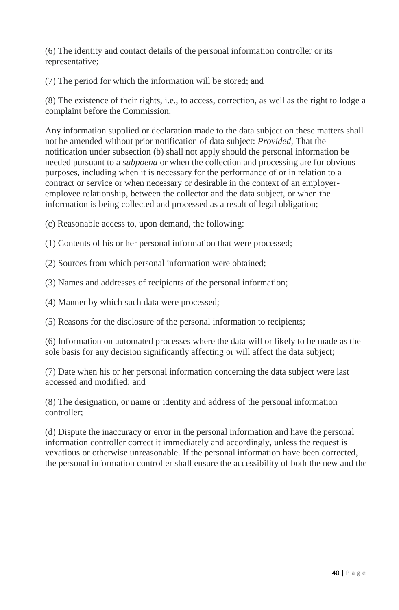(6) The identity and contact details of the personal information controller or its representative;

(7) The period for which the information will be stored; and

(8) The existence of their rights, i.e., to access, correction, as well as the right to lodge a complaint before the Commission.

Any information supplied or declaration made to the data subject on these matters shall not be amended without prior notification of data subject: *Provided,* That the notification under subsection (b) shall not apply should the personal information be needed pursuant to a *subpoena* or when the collection and processing are for obvious purposes, including when it is necessary for the performance of or in relation to a contract or service or when necessary or desirable in the context of an employeremployee relationship, between the collector and the data subject, or when the information is being collected and processed as a result of legal obligation;

(c) Reasonable access to, upon demand, the following:

(1) Contents of his or her personal information that were processed;

(2) Sources from which personal information were obtained;

(3) Names and addresses of recipients of the personal information;

(4) Manner by which such data were processed;

(5) Reasons for the disclosure of the personal information to recipients;

(6) Information on automated processes where the data will or likely to be made as the sole basis for any decision significantly affecting or will affect the data subject;

(7) Date when his or her personal information concerning the data subject were last accessed and modified; and

(8) The designation, or name or identity and address of the personal information controller;

(d) Dispute the inaccuracy or error in the personal information and have the personal information controller correct it immediately and accordingly, unless the request is vexatious or otherwise unreasonable. If the personal information have been corrected, the personal information controller shall ensure the accessibility of both the new and the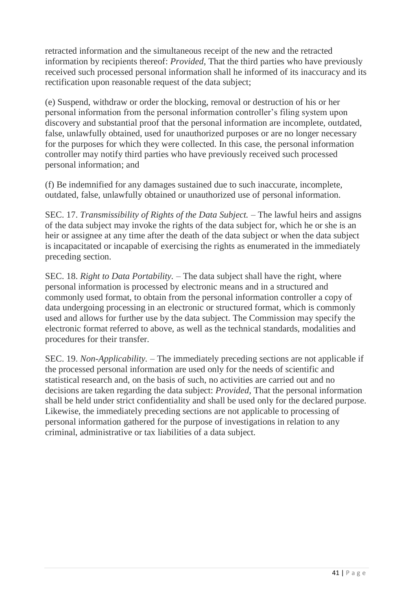retracted information and the simultaneous receipt of the new and the retracted information by recipients thereof: *Provided,* That the third parties who have previously received such processed personal information shall he informed of its inaccuracy and its rectification upon reasonable request of the data subject;

(e) Suspend, withdraw or order the blocking, removal or destruction of his or her personal information from the personal information controller's filing system upon discovery and substantial proof that the personal information are incomplete, outdated, false, unlawfully obtained, used for unauthorized purposes or are no longer necessary for the purposes for which they were collected. In this case, the personal information controller may notify third parties who have previously received such processed personal information; and

(f) Be indemnified for any damages sustained due to such inaccurate, incomplete, outdated, false, unlawfully obtained or unauthorized use of personal information.

SEC. 17. *Transmissibility of Rights of the Data Subject. –* The lawful heirs and assigns of the data subject may invoke the rights of the data subject for, which he or she is an heir or assignee at any time after the death of the data subject or when the data subject is incapacitated or incapable of exercising the rights as enumerated in the immediately preceding section.

SEC. 18. *Right to Data Portability. –* The data subject shall have the right, where personal information is processed by electronic means and in a structured and commonly used format, to obtain from the personal information controller a copy of data undergoing processing in an electronic or structured format, which is commonly used and allows for further use by the data subject. The Commission may specify the electronic format referred to above, as well as the technical standards, modalities and procedures for their transfer.

SEC. 19. *Non-Applicability.* – The immediately preceding sections are not applicable if the processed personal information are used only for the needs of scientific and statistical research and, on the basis of such, no activities are carried out and no decisions are taken regarding the data subject: *Provided,* That the personal information shall be held under strict confidentiality and shall be used only for the declared purpose. Likewise, the immediately preceding sections are not applicable to processing of personal information gathered for the purpose of investigations in relation to any criminal, administrative or tax liabilities of a data subject.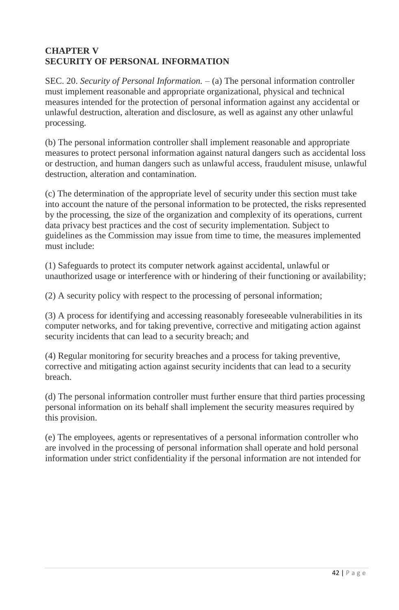### **CHAPTER V SECURITY OF PERSONAL INFORMATION**

SEC. 20. *Security of Personal Information.* – (a) The personal information controller must implement reasonable and appropriate organizational, physical and technical measures intended for the protection of personal information against any accidental or unlawful destruction, alteration and disclosure, as well as against any other unlawful processing.

(b) The personal information controller shall implement reasonable and appropriate measures to protect personal information against natural dangers such as accidental loss or destruction, and human dangers such as unlawful access, fraudulent misuse, unlawful destruction, alteration and contamination.

(c) The determination of the appropriate level of security under this section must take into account the nature of the personal information to be protected, the risks represented by the processing, the size of the organization and complexity of its operations, current data privacy best practices and the cost of security implementation. Subject to guidelines as the Commission may issue from time to time, the measures implemented must include:

(1) Safeguards to protect its computer network against accidental, unlawful or unauthorized usage or interference with or hindering of their functioning or availability;

(2) A security policy with respect to the processing of personal information;

(3) A process for identifying and accessing reasonably foreseeable vulnerabilities in its computer networks, and for taking preventive, corrective and mitigating action against security incidents that can lead to a security breach; and

(4) Regular monitoring for security breaches and a process for taking preventive, corrective and mitigating action against security incidents that can lead to a security breach.

(d) The personal information controller must further ensure that third parties processing personal information on its behalf shall implement the security measures required by this provision.

(e) The employees, agents or representatives of a personal information controller who are involved in the processing of personal information shall operate and hold personal information under strict confidentiality if the personal information are not intended for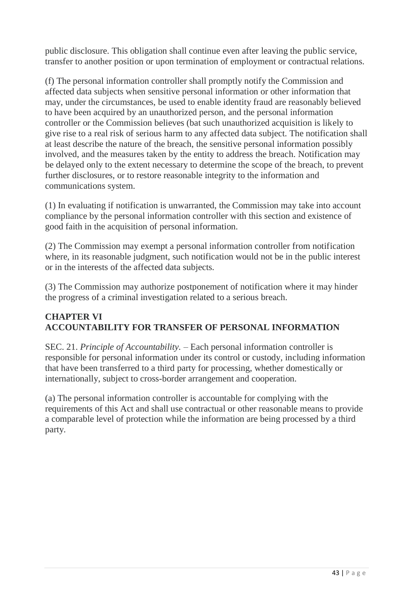public disclosure. This obligation shall continue even after leaving the public service, transfer to another position or upon termination of employment or contractual relations.

(f) The personal information controller shall promptly notify the Commission and affected data subjects when sensitive personal information or other information that may, under the circumstances, be used to enable identity fraud are reasonably believed to have been acquired by an unauthorized person, and the personal information controller or the Commission believes (bat such unauthorized acquisition is likely to give rise to a real risk of serious harm to any affected data subject. The notification shall at least describe the nature of the breach, the sensitive personal information possibly involved, and the measures taken by the entity to address the breach. Notification may be delayed only to the extent necessary to determine the scope of the breach, to prevent further disclosures, or to restore reasonable integrity to the information and communications system.

(1) In evaluating if notification is unwarranted, the Commission may take into account compliance by the personal information controller with this section and existence of good faith in the acquisition of personal information.

(2) The Commission may exempt a personal information controller from notification where, in its reasonable judgment, such notification would not be in the public interest or in the interests of the affected data subjects.

(3) The Commission may authorize postponement of notification where it may hinder the progress of a criminal investigation related to a serious breach.

### **CHAPTER VI ACCOUNTABILITY FOR TRANSFER OF PERSONAL INFORMATION**

SEC. 21. *Principle of Accountability. –* Each personal information controller is responsible for personal information under its control or custody, including information that have been transferred to a third party for processing, whether domestically or internationally, subject to cross-border arrangement and cooperation.

(a) The personal information controller is accountable for complying with the requirements of this Act and shall use contractual or other reasonable means to provide a comparable level of protection while the information are being processed by a third party.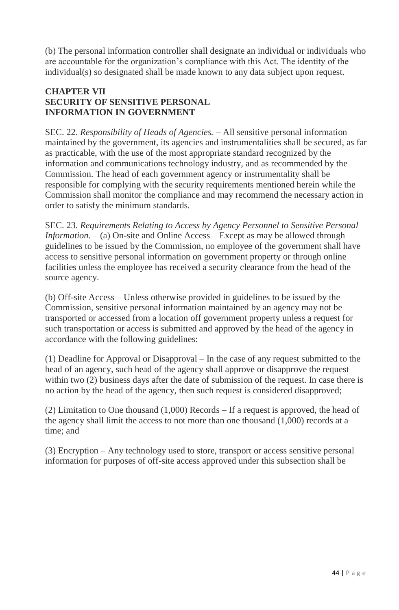(b) The personal information controller shall designate an individual or individuals who are accountable for the organization's compliance with this Act. The identity of the individual(s) so designated shall be made known to any data subject upon request.

### **CHAPTER VII SECURITY OF SENSITIVE PERSONAL INFORMATION IN GOVERNMENT**

SEC. 22. *Responsibility of Heads of Agencies.* – All sensitive personal information maintained by the government, its agencies and instrumentalities shall be secured, as far as practicable, with the use of the most appropriate standard recognized by the information and communications technology industry, and as recommended by the Commission. The head of each government agency or instrumentality shall be responsible for complying with the security requirements mentioned herein while the Commission shall monitor the compliance and may recommend the necessary action in order to satisfy the minimum standards.

SEC. 23. *Requirements Relating to Access by Agency Personnel to Sensitive Personal Information.* – (a) On-site and Online Access – Except as may be allowed through guidelines to be issued by the Commission, no employee of the government shall have access to sensitive personal information on government property or through online facilities unless the employee has received a security clearance from the head of the source agency.

(b) Off-site Access – Unless otherwise provided in guidelines to be issued by the Commission, sensitive personal information maintained by an agency may not be transported or accessed from a location off government property unless a request for such transportation or access is submitted and approved by the head of the agency in accordance with the following guidelines:

(1) Deadline for Approval or Disapproval – In the case of any request submitted to the head of an agency, such head of the agency shall approve or disapprove the request within two (2) business days after the date of submission of the request. In case there is no action by the head of the agency, then such request is considered disapproved;

(2) Limitation to One thousand (1,000) Records – If a request is approved, the head of the agency shall limit the access to not more than one thousand (1,000) records at a time; and

(3) Encryption – Any technology used to store, transport or access sensitive personal information for purposes of off-site access approved under this subsection shall be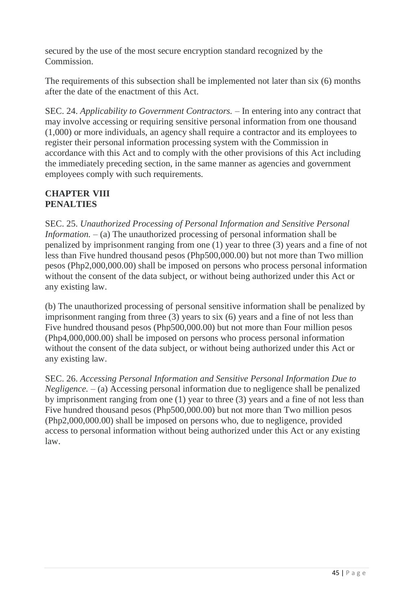secured by the use of the most secure encryption standard recognized by the Commission.

The requirements of this subsection shall be implemented not later than six (6) months after the date of the enactment of this Act.

SEC. 24. *Applicability to Government Contractors.* – In entering into any contract that may involve accessing or requiring sensitive personal information from one thousand (1,000) or more individuals, an agency shall require a contractor and its employees to register their personal information processing system with the Commission in accordance with this Act and to comply with the other provisions of this Act including the immediately preceding section, in the same manner as agencies and government employees comply with such requirements.

### **CHAPTER VIII PENALTIES**

SEC. 25. *Unauthorized Processing of Personal Information and Sensitive Personal Information. –* (a) The unauthorized processing of personal information shall be penalized by imprisonment ranging from one (1) year to three (3) years and a fine of not less than Five hundred thousand pesos (Php500,000.00) but not more than Two million pesos (Php2,000,000.00) shall be imposed on persons who process personal information without the consent of the data subject, or without being authorized under this Act or any existing law.

(b) The unauthorized processing of personal sensitive information shall be penalized by imprisonment ranging from three (3) years to six (6) years and a fine of not less than Five hundred thousand pesos (Php500,000.00) but not more than Four million pesos (Php4,000,000.00) shall be imposed on persons who process personal information without the consent of the data subject, or without being authorized under this Act or any existing law.

SEC. 26. *Accessing Personal Information and Sensitive Personal Information Due to Negligence.* – (a) Accessing personal information due to negligence shall be penalized by imprisonment ranging from one (1) year to three (3) years and a fine of not less than Five hundred thousand pesos (Php500,000.00) but not more than Two million pesos (Php2,000,000.00) shall be imposed on persons who, due to negligence, provided access to personal information without being authorized under this Act or any existing law.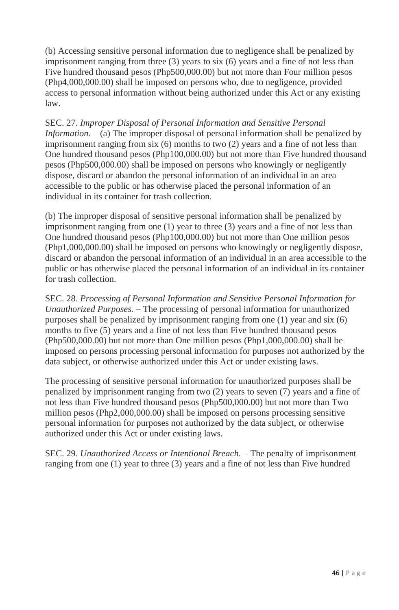(b) Accessing sensitive personal information due to negligence shall be penalized by imprisonment ranging from three (3) years to six (6) years and a fine of not less than Five hundred thousand pesos (Php500,000.00) but not more than Four million pesos (Php4,000,000.00) shall be imposed on persons who, due to negligence, provided access to personal information without being authorized under this Act or any existing law.

SEC. 27. *Improper Disposal of Personal Information and Sensitive Personal Information.* – (a) The improper disposal of personal information shall be penalized by imprisonment ranging from six (6) months to two (2) years and a fine of not less than One hundred thousand pesos (Php100,000.00) but not more than Five hundred thousand pesos (Php500,000.00) shall be imposed on persons who knowingly or negligently dispose, discard or abandon the personal information of an individual in an area accessible to the public or has otherwise placed the personal information of an individual in its container for trash collection.

(b) The improper disposal of sensitive personal information shall be penalized by imprisonment ranging from one (1) year to three (3) years and a fine of not less than One hundred thousand pesos (Php100,000.00) but not more than One million pesos (Php1,000,000.00) shall be imposed on persons who knowingly or negligently dispose, discard or abandon the personal information of an individual in an area accessible to the public or has otherwise placed the personal information of an individual in its container for trash collection.

SEC. 28. *Processing of Personal Information and Sensitive Personal Information for Unauthorized Purposes. –* The processing of personal information for unauthorized purposes shall be penalized by imprisonment ranging from one (1) year and six (6) months to five (5) years and a fine of not less than Five hundred thousand pesos (Php500,000.00) but not more than One million pesos (Php1,000,000.00) shall be imposed on persons processing personal information for purposes not authorized by the data subject, or otherwise authorized under this Act or under existing laws.

The processing of sensitive personal information for unauthorized purposes shall be penalized by imprisonment ranging from two (2) years to seven (7) years and a fine of not less than Five hundred thousand pesos (Php500,000.00) but not more than Two million pesos (Php2,000,000.00) shall be imposed on persons processing sensitive personal information for purposes not authorized by the data subject, or otherwise authorized under this Act or under existing laws.

SEC. 29. *Unauthorized Access or Intentional Breach. –* The penalty of imprisonment ranging from one (1) year to three (3) years and a fine of not less than Five hundred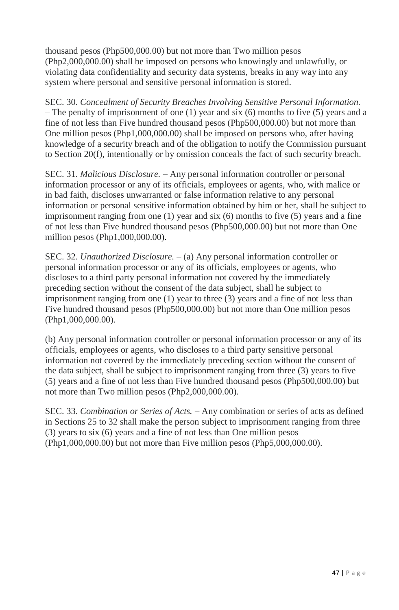thousand pesos (Php500,000.00) but not more than Two million pesos (Php2,000,000.00) shall be imposed on persons who knowingly and unlawfully, or violating data confidentiality and security data systems, breaks in any way into any system where personal and sensitive personal information is stored.

SEC. 30. *Concealment of Security Breaches Involving Sensitive Personal Information. –* The penalty of imprisonment of one (1) year and six (6) months to five (5) years and a fine of not less than Five hundred thousand pesos (Php500,000.00) but not more than One million pesos (Php1,000,000.00) shall be imposed on persons who, after having knowledge of a security breach and of the obligation to notify the Commission pursuant to Section 20(f), intentionally or by omission conceals the fact of such security breach.

SEC. 31. *Malicious Disclosure. –* Any personal information controller or personal information processor or any of its officials, employees or agents, who, with malice or in bad faith, discloses unwarranted or false information relative to any personal information or personal sensitive information obtained by him or her, shall be subject to imprisonment ranging from one (1) year and six (6) months to five (5) years and a fine of not less than Five hundred thousand pesos (Php500,000.00) but not more than One million pesos (Php1,000,000.00).

SEC. 32. *Unauthorized Disclosure. –* (a) Any personal information controller or personal information processor or any of its officials, employees or agents, who discloses to a third party personal information not covered by the immediately preceding section without the consent of the data subject, shall he subject to imprisonment ranging from one (1) year to three (3) years and a fine of not less than Five hundred thousand pesos (Php500,000.00) but not more than One million pesos (Php1,000,000.00).

(b) Any personal information controller or personal information processor or any of its officials, employees or agents, who discloses to a third party sensitive personal information not covered by the immediately preceding section without the consent of the data subject, shall be subject to imprisonment ranging from three (3) years to five (5) years and a fine of not less than Five hundred thousand pesos (Php500,000.00) but not more than Two million pesos (Php2,000,000.00).

SEC. 33. *Combination or Series of Acts. –* Any combination or series of acts as defined in Sections 25 to 32 shall make the person subject to imprisonment ranging from three (3) years to six (6) years and a fine of not less than One million pesos (Php1,000,000.00) but not more than Five million pesos (Php5,000,000.00).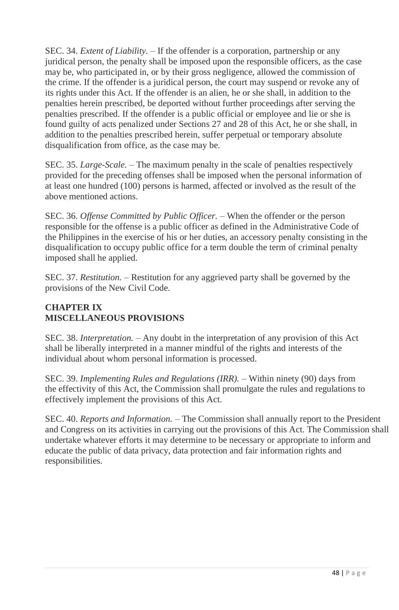SEC. 34. *Extent of Liability.* – If the offender is a corporation, partnership or any juridical person, the penalty shall be imposed upon the responsible officers, as the case may be, who participated in, or by their gross negligence, allowed the commission of the crime. If the offender is a juridical person, the court may suspend or revoke any of its rights under this Act. If the offender is an alien, he or she shall, in addition to the penalties herein prescribed, be deported without further proceedings after serving the penalties prescribed. If the offender is a public official or employee and lie or she is found guilty of acts penalized under Sections 27 and 28 of this Act, he or she shall, in addition to the penalties prescribed herein, suffer perpetual or temporary absolute disqualification from office, as the case may be.

SEC. 35. *Large-Scale. –* The maximum penalty in the scale of penalties respectively provided for the preceding offenses shall be imposed when the personal information of at least one hundred (100) persons is harmed, affected or involved as the result of the above mentioned actions.

SEC. 36. *Offense Committed by Public Officer. –* When the offender or the person responsible for the offense is a public officer as defined in the Administrative Code of the Philippines in the exercise of his or her duties, an accessory penalty consisting in the disqualification to occupy public office for a term double the term of criminal penalty imposed shall he applied.

SEC. 37. *Restitution. –* Restitution for any aggrieved party shall be governed by the provisions of the New Civil Code.

### **CHAPTER IX MISCELLANEOUS PROVISIONS**

SEC. 38. *Interpretation. –* Any doubt in the interpretation of any provision of this Act shall be liberally interpreted in a manner mindful of the rights and interests of the individual about whom personal information is processed.

SEC. 39. *Implementing Rules and Regulations (IRR).* – Within ninety (90) days from the effectivity of this Act, the Commission shall promulgate the rules and regulations to effectively implement the provisions of this Act.

SEC. 40. *Reports and Information.* – The Commission shall annually report to the President and Congress on its activities in carrying out the provisions of this Act. The Commission shall undertake whatever efforts it may determine to be necessary or appropriate to inform and educate the public of data privacy, data protection and fair information rights and responsibilities.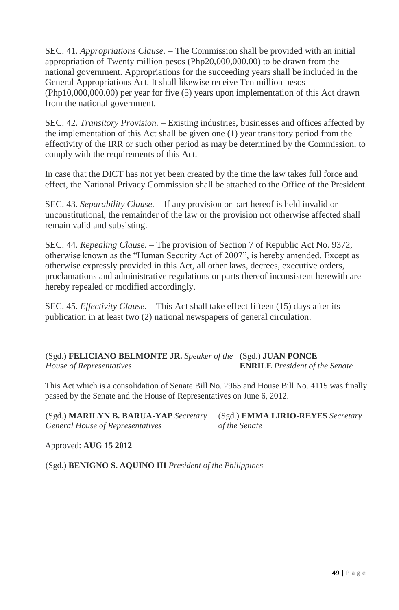SEC. 41. *Appropriations Clause. –* The Commission shall be provided with an initial appropriation of Twenty million pesos (Php20,000,000.00) to be drawn from the national government. Appropriations for the succeeding years shall be included in the General Appropriations Act. It shall likewise receive Ten million pesos (Php10,000,000.00) per year for five (5) years upon implementation of this Act drawn from the national government.

SEC. 42. *Transitory Provision.* – Existing industries, businesses and offices affected by the implementation of this Act shall be given one (1) year transitory period from the effectivity of the IRR or such other period as may be determined by the Commission, to comply with the requirements of this Act.

In case that the DICT has not yet been created by the time the law takes full force and effect, the National Privacy Commission shall be attached to the Office of the President.

SEC. 43. *Separability Clause. –* If any provision or part hereof is held invalid or unconstitutional, the remainder of the law or the provision not otherwise affected shall remain valid and subsisting.

SEC. 44. *Repealing Clause. –* The provision of Section 7 of Republic Act No. 9372, otherwise known as the "Human Security Act of 2007", is hereby amended. Except as otherwise expressly provided in this Act, all other laws, decrees, executive orders, proclamations and administrative regulations or parts thereof inconsistent herewith are hereby repealed or modified accordingly.

SEC. 45. *Effectivity Clause. –* This Act shall take effect fifteen (15) days after its publication in at least two (2) national newspapers of general circulation.

(Sgd.) **FELICIANO BELMONTE JR.** *Speaker of the*  (Sgd.) **JUAN PONCE**  *House of Representatives*  **ENRILE** *President of the Senate*

This Act which is a consolidation of Senate Bill No. 2965 and House Bill No. 4115 was finally passed by the Senate and the House of Representatives on June 6, 2012.

(Sgd.) **MARILYN B. BARUA-YAP** *Secretary*  (Sgd.) **EMMA LIRIO-REYES** *Secretary General House of Representatives*

*of the Senate*

Approved: **AUG 15 2012**

(Sgd.) **BENIGNO S. AQUINO III** *President of the Philippines*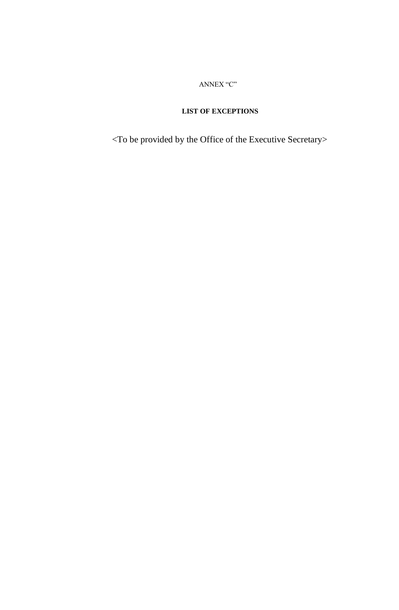ANNEX "C"

#### **LIST OF EXCEPTIONS**

<To be provided by the Office of the Executive Secretary>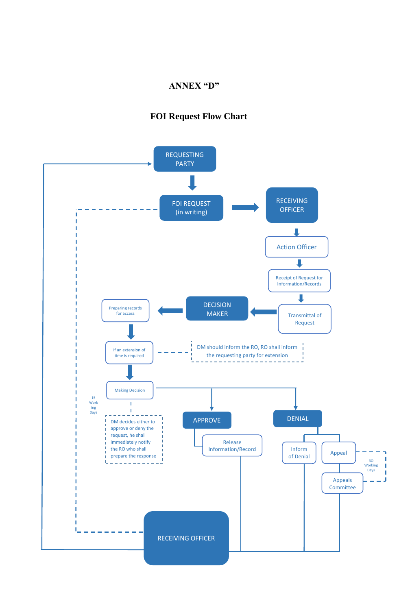#### **ANNEX "D"**

### **FOI Request Flow Chart**

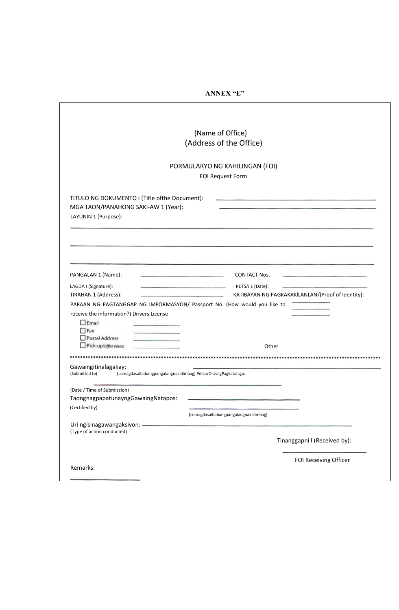| TITULO NG DOKUMENTO I (Title ofthe Document):<br>MGA TAON/PANAHONG SAKI-AW 1 (Year):<br>LAYUNIN 1 (Purpose): | (Name of Office)<br>(Address of the Office)<br>PORMULARYO NG KAHILINGAN (FOI)<br>FOI Request Form |
|--------------------------------------------------------------------------------------------------------------|---------------------------------------------------------------------------------------------------|
|                                                                                                              |                                                                                                   |
|                                                                                                              |                                                                                                   |
|                                                                                                              |                                                                                                   |
|                                                                                                              |                                                                                                   |
|                                                                                                              |                                                                                                   |
|                                                                                                              |                                                                                                   |
|                                                                                                              |                                                                                                   |
|                                                                                                              |                                                                                                   |
|                                                                                                              |                                                                                                   |
|                                                                                                              |                                                                                                   |
| PANGALAN 1 (Name):<br>the control of the control of the control of the control of the control of             | <b>CONTACT Nos.</b><br>the control of the control of the control of the control of the control of |
| LAGDA I (Signature):<br>the contract of the contract of the contract of the contract of the contract of the  | PETSA 1 (Date):                                                                                   |
| TIRAHAN 1 (Address):                                                                                         | KATIBAYAN NG PAGKAKAKILANLAN/(Proof of Identity):                                                 |
| PARAAN NG PAGTANGGAP NG IMPORMASYON/ Passport No. (How would you like to                                     |                                                                                                   |
| receive the information?) Drivers License                                                                    |                                                                                                   |
| Email                                                                                                        |                                                                                                   |
| $\Box$ Fax                                                                                                   |                                                                                                   |
| Postal Address<br><u> Constantinople</u><br>Pick-up(Office hours)                                            |                                                                                                   |
|                                                                                                              | Other                                                                                             |
|                                                                                                              |                                                                                                   |
| Gawaingitinalagakay:                                                                                         |                                                                                                   |
| (Submitted to)<br>(Lumagdasaibabangpangalangnakalimbag) Petsa/OrasngPagkatalaga:                             |                                                                                                   |
| (Date / Time of Submission)                                                                                  |                                                                                                   |
| TaongnagpapatunayngGawaingNatapos:                                                                           | the control of the control of the control of                                                      |
| (Certified by)                                                                                               |                                                                                                   |
|                                                                                                              | (Lumagdasaibabangpangalangnakalimbag)                                                             |
|                                                                                                              |                                                                                                   |
| (Type of action conducted)                                                                                   |                                                                                                   |
|                                                                                                              | Tinanggapni I (Received by):                                                                      |
|                                                                                                              | FOI Receiving Officer                                                                             |
| Remarks:                                                                                                     |                                                                                                   |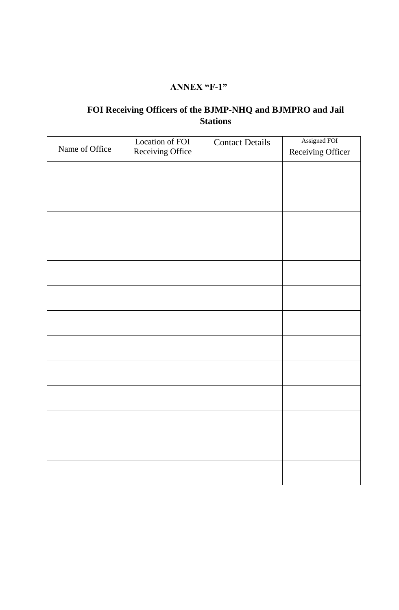### **ANNEX "F-1"**

### **FOI Receiving Officers of the BJMP-NHQ and BJMPRO and Jail Stations**

|                | Location of FOI  | <b>Contact Details</b> | Assigned FOI      |
|----------------|------------------|------------------------|-------------------|
| Name of Office | Receiving Office |                        | Receiving Officer |
|                |                  |                        |                   |
|                |                  |                        |                   |
|                |                  |                        |                   |
|                |                  |                        |                   |
|                |                  |                        |                   |
|                |                  |                        |                   |
|                |                  |                        |                   |
|                |                  |                        |                   |
|                |                  |                        |                   |
|                |                  |                        |                   |
|                |                  |                        |                   |
|                |                  |                        |                   |
|                |                  |                        |                   |
|                |                  |                        |                   |
|                |                  |                        |                   |
|                |                  |                        |                   |
|                |                  |                        |                   |
|                |                  |                        |                   |
|                |                  |                        |                   |
|                |                  |                        |                   |
|                |                  |                        |                   |
|                |                  |                        |                   |
|                |                  |                        |                   |
|                |                  |                        |                   |
|                |                  |                        |                   |
|                |                  |                        |                   |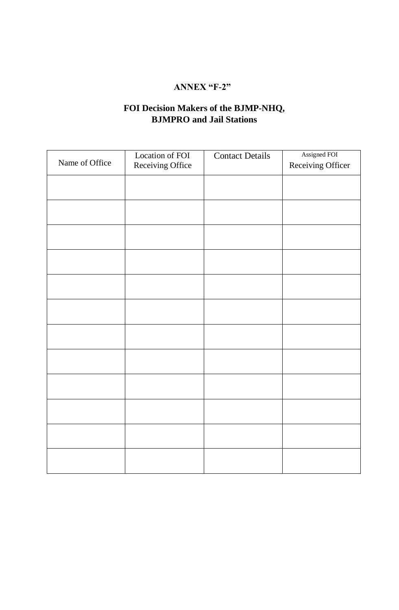### **ANNEX "F-2"**

## **FOI Decision Makers of the BJMP-NHQ, BJMPRO and Jail Stations**

|                | Location of FOI  | <b>Contact Details</b> | Assigned FOI      |
|----------------|------------------|------------------------|-------------------|
| Name of Office | Receiving Office |                        | Receiving Officer |
|                |                  |                        |                   |
|                |                  |                        |                   |
|                |                  |                        |                   |
|                |                  |                        |                   |
|                |                  |                        |                   |
|                |                  |                        |                   |
|                |                  |                        |                   |
|                |                  |                        |                   |
|                |                  |                        |                   |
|                |                  |                        |                   |
|                |                  |                        |                   |
|                |                  |                        |                   |
|                |                  |                        |                   |
|                |                  |                        |                   |
|                |                  |                        |                   |
|                |                  |                        |                   |
|                |                  |                        |                   |
|                |                  |                        |                   |
|                |                  |                        |                   |
|                |                  |                        |                   |
|                |                  |                        |                   |
|                |                  |                        |                   |
|                |                  |                        |                   |
|                |                  |                        |                   |
|                |                  |                        |                   |
|                |                  |                        |                   |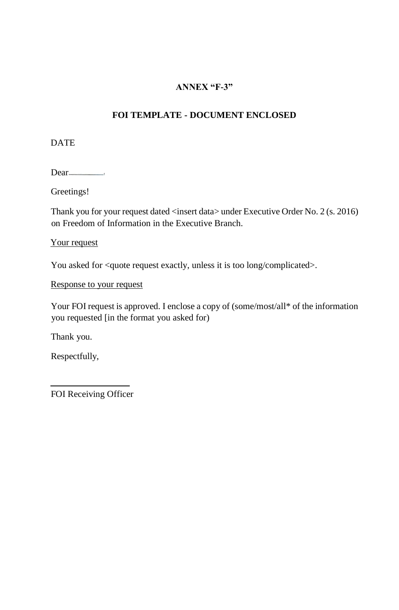### **ANNEX "F-3"**

### **FOI TEMPLATE - DOCUMENT ENCLOSED**

**DATE** 

Dear
<u>near</u>
near
near
near **Dear
near
<sub>1</sub>** 

Greetings!

Thank you for your request dated <insert data> under Executive Order No. 2 (s. 2016) on Freedom of Information in the Executive Branch.

### Your request

You asked for <quote request exactly, unless it is too long/complicated>.

Response to your request

Your FOI request is approved. I enclose a copy of (some/most/all\* of the information you requested [in the format you asked for)

Thank you.

Respectfully,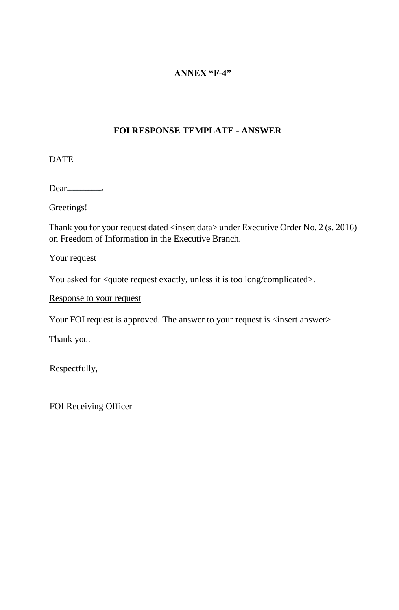### **ANNEX "F-4"**

### **FOI RESPONSE TEMPLATE - ANSWER**

DATE

Dear<sub>————</sub>

Greetings!

Thank you for your request dated <insert data> under Executive Order No. 2 (s. 2016) on Freedom of Information in the Executive Branch.

Your request

You asked for <quote request exactly, unless it is too long/complicated>.

Response to your request

Your FOI request is approved. The answer to your request is  $\langle$  insert answer>

Thank you.

Respectfully,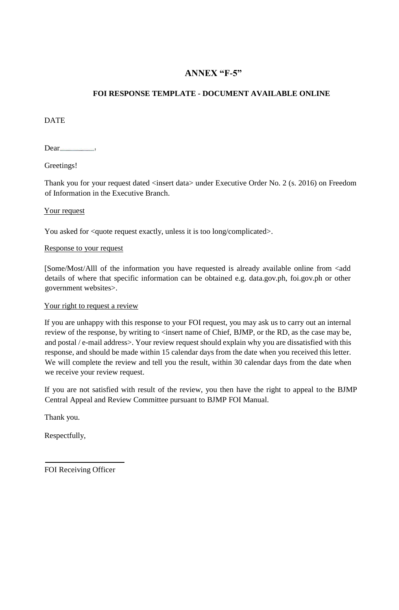### **ANNEX "F-5"**

#### **FOI RESPONSE TEMPLATE - DOCUMENT AVAILABLE ONLINE**

DATE

Dear
bundar

Greetings!

Thank you for your request dated <insert data> under Executive Order No. 2 (s. 2016) on Freedom of Information in the Executive Branch.

#### Your request

You asked for <quote request exactly, unless it is too long/complicated>.

#### Response to your request

[Some/Most/Alll of the information you have requested is already available online from <add details of where that specific information can be obtained e.g. data.gov.ph, foi.gov.ph or other government websites>.

#### Your right to request a review

If you are unhappy with this response to your FOI request, you may ask us to carry out an internal review of the response, by writing to <insert name of Chief, BJMP, or the RD, as the case may be, and postal / e-mail address>. Your review request should explain why you are dissatisfied with this response, and should be made within 15 calendar days from the date when you received this letter. We will complete the review and tell you the result, within 30 calendar days from the date when we receive your review request.

If you are not satisfied with result of the review, you then have the right to appeal to the BJMP Central Appeal and Review Committee pursuant to BJMP FOI Manual.

Thank you.

Respectfully,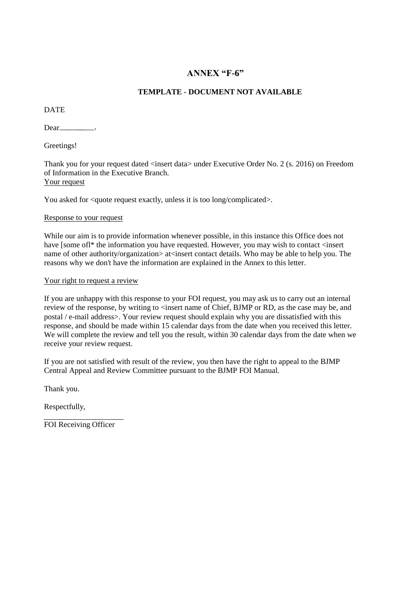### **ANNEX "F-6"**

#### **TEMPLATE - DOCUMENT NOT AVAILABLE**

**DATE** 

Dear
bundan belief belief belief belief belief belief belief belief belief belief belief belief belief belief b

Greetings!

Thank you for your request dated <insert data> under Executive Order No. 2 (s. 2016) on Freedom of Information in the Executive Branch. Your request

You asked for <quote request exactly, unless it is too long/complicated>.

#### Response to your request

While our aim is to provide information whenever possible, in this instance this Office does not have [some ofl\* the information you have requested. However, you may wish to contact <insert name of other authority/organization> at<insert contact details. Who may be able to help you. The reasons why we don't have the information are explained in the Annex to this letter.

#### Your right to request a review

If you are unhappy with this response to your FOI request, you may ask us to carry out an internal review of the response, by writing to <insert name of Chief, BJMP or RD, as the case may be, and postal / e-mail address>. Your review request should explain why you are dissatisfied with this response, and should be made within 15 calendar days from the date when you received this letter. We will complete the review and tell you the result, within 30 calendar days from the date when we receive your review request.

If you are not satisfied with result of the review, you then have the right to appeal to the BJMP Central Appeal and Review Committee pursuant to the BJMP FOI Manual.

Thank you.

Respectfully,